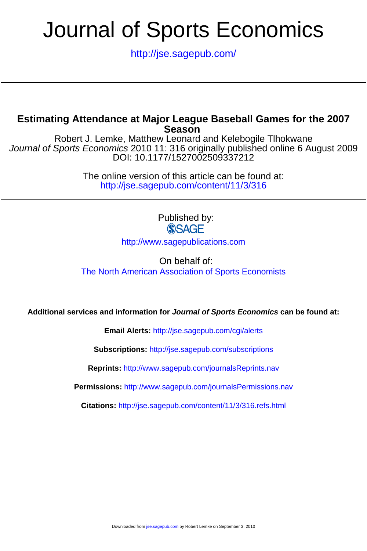# Journal of Sports Economics

<http://jse.sagepub.com/>

# **Season Estimating Attendance at Major League Baseball Games for the 2007**

DOI: 10.1177/1527002509337212 Journal of Sports Economics 2010 11: 316 originally published online 6 August 2009 Robert J. Lemke, Matthew Leonard and Kelebogile Tlhokwane

> <http://jse.sagepub.com/content/11/3/316> The online version of this article can be found at:

> > Published by:<br>
> > SAGE

<http://www.sagepublications.com>

On behalf of: [The North American Association of Sports Economists](http://www.kennesaw.edu/naase/)

**Additional services and information for Journal of Sports Economics can be found at:**

**Email Alerts:** <http://jse.sagepub.com/cgi/alerts>

**Subscriptions:** <http://jse.sagepub.com/subscriptions>

**Reprints:** <http://www.sagepub.com/journalsReprints.nav>

**Permissions:** <http://www.sagepub.com/journalsPermissions.nav>

**Citations:** <http://jse.sagepub.com/content/11/3/316.refs.html>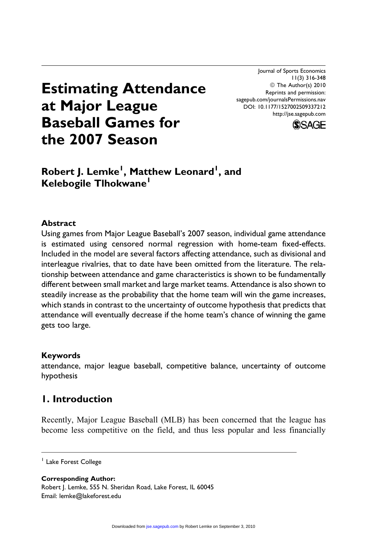Journal of Sports Economics 11(3) 316-348 © The Author(s) 2010 Reprints and permission: sagepub.com/journalsPermissions.nav DOI: 10.1177/1527002509337212 http://jse.sagepub.com



# Estimating Attendance at Major League Baseball Games for the 2007 Season

# Robert J. Lemke<sup>l</sup>, Matthew Leonard<sup>1</sup>, and Kelebogile Tlhokwane<sup>1</sup>

# Abstract

Using games from Major League Baseball's 2007 season, individual game attendance is estimated using censored normal regression with home-team fixed-effects. Included in the model are several factors affecting attendance, such as divisional and interleague rivalries, that to date have been omitted from the literature. The relationship between attendance and game characteristics is shown to be fundamentally different between small market and large market teams. Attendance is also shown to steadily increase as the probability that the home team will win the game increases, which stands in contrast to the uncertainty of outcome hypothesis that predicts that attendance will eventually decrease if the home team's chance of winning the game gets too large.

### Keywords

attendance, major league baseball, competitive balance, uncertainty of outcome hypothesis

# 1. Introduction

Recently, Major League Baseball (MLB) has been concerned that the league has become less competitive on the field, and thus less popular and less financially

<sup>1</sup> Lake Forest College

Corresponding Author:

Robert J. Lemke, 555 N. Sheridan Road, Lake Forest, IL 60045 Email: lemke@lakeforest.edu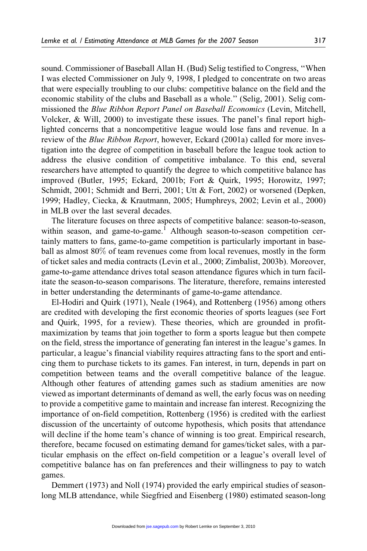sound. Commissioner of Baseball Allan H. (Bud) Selig testified to Congress, ''When I was elected Commissioner on July 9, 1998, I pledged to concentrate on two areas that were especially troubling to our clubs: competitive balance on the field and the economic stability of the clubs and Baseball as a whole.'' (Selig, 2001). Selig commissioned the Blue Ribbon Report Panel on Baseball Economics (Levin, Mitchell, Volcker, & Will, 2000) to investigate these issues. The panel's final report highlighted concerns that a noncompetitive league would lose fans and revenue. In a review of the Blue Ribbon Report, however, Eckard (2001a) called for more investigation into the degree of competition in baseball before the league took action to address the elusive condition of competitive imbalance. To this end, several researchers have attempted to quantify the degree to which competitive balance has improved (Butler, 1995; Eckard, 2001b; Fort & Quirk, 1995; Horowitz, 1997; Schmidt, 2001; Schmidt and Berri, 2001; Utt & Fort, 2002) or worsened (Depken, 1999; Hadley, Ciecka, & Krautmann, 2005; Humphreys, 2002; Levin et al., 2000) in MLB over the last several decades.

The literature focuses on three aspects of competitive balance: season-to-season, within season, and game-to-game.<sup>1</sup> Although season-to-season competition certainly matters to fans, game-to-game competition is particularly important in baseball as almost 80% of team revenues come from local revenues, mostly in the form of ticket sales and media contracts (Levin et al., 2000; Zimbalist, 2003b). Moreover, game-to-game attendance drives total season attendance figures which in turn facilitate the season-to-season comparisons. The literature, therefore, remains interested in better understanding the determinants of game-to-game attendance.

El-Hodiri and Quirk (1971), Neale (1964), and Rottenberg (1956) among others are credited with developing the first economic theories of sports leagues (see Fort and Quirk, 1995, for a review). These theories, which are grounded in profitmaximization by teams that join together to form a sports league but then compete on the field, stress the importance of generating fan interest in the league's games. In particular, a league's financial viability requires attracting fans to the sport and enticing them to purchase tickets to its games. Fan interest, in turn, depends in part on competition between teams and the overall competitive balance of the league. Although other features of attending games such as stadium amenities are now viewed as important determinants of demand as well, the early focus was on needing to provide a competitive game to maintain and increase fan interest. Recognizing the importance of on-field competition, Rottenberg (1956) is credited with the earliest discussion of the uncertainty of outcome hypothesis, which posits that attendance will decline if the home team's chance of winning is too great. Empirical research, therefore, became focused on estimating demand for games/ticket sales, with a particular emphasis on the effect on-field competition or a league's overall level of competitive balance has on fan preferences and their willingness to pay to watch games.

Demmert (1973) and Noll (1974) provided the early empirical studies of seasonlong MLB attendance, while Siegfried and Eisenberg (1980) estimated season-long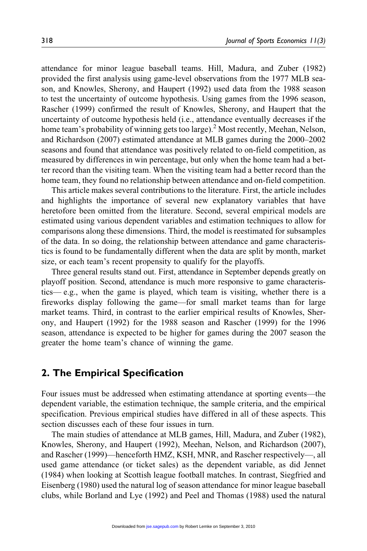attendance for minor league baseball teams. Hill, Madura, and Zuber (1982) provided the first analysis using game-level observations from the 1977 MLB season, and Knowles, Sherony, and Haupert (1992) used data from the 1988 season to test the uncertainty of outcome hypothesis. Using games from the 1996 season, Rascher (1999) confirmed the result of Knowles, Sherony, and Haupert that the uncertainty of outcome hypothesis held (i.e., attendance eventually decreases if the home team's probability of winning gets too large).<sup>2</sup> Most recently, Meehan, Nelson, and Richardson (2007) estimated attendance at MLB games during the 2000–2002 seasons and found that attendance was positively related to on-field competition, as measured by differences in win percentage, but only when the home team had a better record than the visiting team. When the visiting team had a better record than the home team, they found no relationship between attendance and on-field competition.

This article makes several contributions to the literature. First, the article includes and highlights the importance of several new explanatory variables that have heretofore been omitted from the literature. Second, several empirical models are estimated using various dependent variables and estimation techniques to allow for comparisons along these dimensions. Third, the model is reestimated for subsamples of the data. In so doing, the relationship between attendance and game characteristics is found to be fundamentally different when the data are split by month, market size, or each team's recent propensity to qualify for the playoffs.

Three general results stand out. First, attendance in September depends greatly on playoff position. Second, attendance is much more responsive to game characteristics— e.g., when the game is played, which team is visiting, whether there is a fireworks display following the game—for small market teams than for large market teams. Third, in contrast to the earlier empirical results of Knowles, Sherony, and Haupert (1992) for the 1988 season and Rascher (1999) for the 1996 season, attendance is expected to be higher for games during the 2007 season the greater the home team's chance of winning the game.

### 2. The Empirical Specification

Four issues must be addressed when estimating attendance at sporting events—the dependent variable, the estimation technique, the sample criteria, and the empirical specification. Previous empirical studies have differed in all of these aspects. This section discusses each of these four issues in turn.

The main studies of attendance at MLB games, Hill, Madura, and Zuber (1982), Knowles, Sherony, and Haupert (1992), Meehan, Nelson, and Richardson (2007), and Rascher (1999)—henceforth HMZ, KSH, MNR, and Rascher respectively—, all used game attendance (or ticket sales) as the dependent variable, as did Jennet (1984) when looking at Scottish league football matches. In contrast, Siegfried and Eisenberg (1980) used the natural log of season attendance for minor league baseball clubs, while Borland and Lye (1992) and Peel and Thomas (1988) used the natural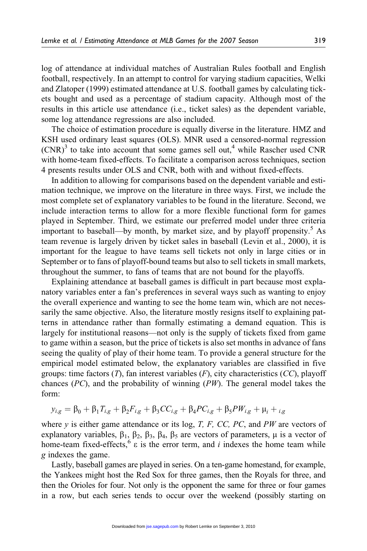log of attendance at individual matches of Australian Rules football and English football, respectively. In an attempt to control for varying stadium capacities, Welki and Zlatoper (1999) estimated attendance at U.S. football games by calculating tickets bought and used as a percentage of stadium capacity. Although most of the results in this article use attendance (i.e., ticket sales) as the dependent variable, some log attendance regressions are also included.

The choice of estimation procedure is equally diverse in the literature. HMZ and KSH used ordinary least squares (OLS). MNR used a censored-normal regression  $(CNR)^3$  to take into account that some games sell out,<sup>4</sup> while Rascher used CNR with home-team fixed-effects. To facilitate a comparison across techniques, section 4 presents results under OLS and CNR, both with and without fixed-effects.

In addition to allowing for comparisons based on the dependent variable and estimation technique, we improve on the literature in three ways. First, we include the most complete set of explanatory variables to be found in the literature. Second, we include interaction terms to allow for a more flexible functional form for games played in September. Third, we estimate our preferred model under three criteria important to baseball—by month, by market size, and by playoff propensity.<sup>5</sup> As team revenue is largely driven by ticket sales in baseball (Levin et al., 2000), it is important for the league to have teams sell tickets not only in large cities or in September or to fans of playoff-bound teams but also to sell tickets in small markets, throughout the summer, to fans of teams that are not bound for the playoffs.

Explaining attendance at baseball games is difficult in part because most explanatory variables enter a fan's preferences in several ways such as wanting to enjoy the overall experience and wanting to see the home team win, which are not necessarily the same objective. Also, the literature mostly resigns itself to explaining patterns in attendance rather than formally estimating a demand equation. This is largely for institutional reasons—not only is the supply of tickets fixed from game to game within a season, but the price of tickets is also set months in advance of fans seeing the quality of play of their home team. To provide a general structure for the empirical model estimated below, the explanatory variables are classified in five groups: time factors  $(T)$ , fan interest variables  $(F)$ , city characteristics  $(CC)$ , playoff chances ( $PC$ ), and the probability of winning ( $PW$ ). The general model takes the form:

$$
y_{i,g} = \beta_0 + \beta_1 T_{i,g} + \beta_2 F_{i,g} + \beta_3 CC_{i,g} + \beta_4 PC_{i,g} + \beta_5 PW_{i,g} + \mu_i +_{i,g}
$$

where  $y$  is either game attendance or its log, T, F, CC, PC, and PW are vectors of explanatory variables,  $\beta_1$ ,  $\beta_2$ ,  $\beta_3$ ,  $\beta_4$ ,  $\beta_5$  are vectors of parameters,  $\mu$  is a vector of home-team fixed-effects,  $6 \times 1$  is the error term, and *i* indexes the home team while g indexes the game.

Lastly, baseball games are played in series. On a ten-game homestand, for example, the Yankees might host the Red Sox for three games, then the Royals for three, and then the Orioles for four. Not only is the opponent the same for three or four games in a row, but each series tends to occur over the weekend (possibly starting on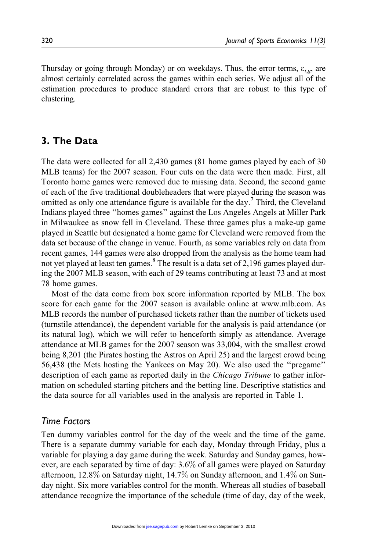Thursday or going through Monday) or on weekdays. Thus, the error terms,  $\varepsilon_{i,e}$ , are almost certainly correlated across the games within each series. We adjust all of the estimation procedures to produce standard errors that are robust to this type of clustering.

# 3. The Data

The data were collected for all 2,430 games (81 home games played by each of 30 MLB teams) for the 2007 season. Four cuts on the data were then made. First, all Toronto home games were removed due to missing data. Second, the second game of each of the five traditional doubleheaders that were played during the season was omitted as only one attendance figure is available for the day.<sup>7</sup> Third, the Cleveland Indians played three ''homes games'' against the Los Angeles Angels at Miller Park in Milwaukee as snow fell in Cleveland. These three games plus a make-up game played in Seattle but designated a home game for Cleveland were removed from the data set because of the change in venue. Fourth, as some variables rely on data from recent games, 144 games were also dropped from the analysis as the home team had not yet played at least ten games. $8$  The result is a data set of 2,196 games played during the 2007 MLB season, with each of 29 teams contributing at least 73 and at most 78 home games.

Most of the data come from box score information reported by MLB. The box score for each game for the 2007 season is available online at www.mlb.com. As MLB records the number of purchased tickets rather than the number of tickets used (turnstile attendance), the dependent variable for the analysis is paid attendance (or its natural log), which we will refer to henceforth simply as attendance. Average attendance at MLB games for the 2007 season was 33,004, with the smallest crowd being 8,201 (the Pirates hosting the Astros on April 25) and the largest crowd being 56,438 (the Mets hosting the Yankees on May 20). We also used the ''pregame'' description of each game as reported daily in the Chicago Tribune to gather information on scheduled starting pitchers and the betting line. Descriptive statistics and the data source for all variables used in the analysis are reported in Table 1.

#### Time Factors

Ten dummy variables control for the day of the week and the time of the game. There is a separate dummy variable for each day, Monday through Friday, plus a variable for playing a day game during the week. Saturday and Sunday games, however, are each separated by time of day: 3.6% of all games were played on Saturday afternoon, 12.8% on Saturday night, 14.7% on Sunday afternoon, and 1.4% on Sunday night. Six more variables control for the month. Whereas all studies of baseball attendance recognize the importance of the schedule (time of day, day of the week,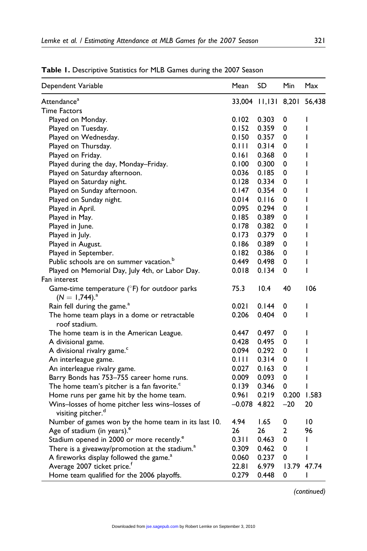| Dependent Variable                                                                | Mean           | SD                  | Min   | Max         |
|-----------------------------------------------------------------------------------|----------------|---------------------|-------|-------------|
| Attendance <sup>a</sup>                                                           |                | 33,004 11,131 8,201 |       | 56,438      |
| <b>Time Factors</b>                                                               |                |                     |       |             |
| Played on Monday.                                                                 | 0.102          | 0.303               | 0     | ı           |
| Played on Tuesday.                                                                | 0.152          | 0.359               | 0     | I           |
| Played on Wednesday.                                                              | 0.150          | 0.357               | 0     | ı           |
| Played on Thursday.                                                               | 0.111          | 0.314               | 0     | I           |
| Played on Friday.                                                                 | 0.161          | 0.368               | 0     | I           |
| Played during the day, Monday–Friday.                                             | 0.100          | 0.300               | 0     | ı           |
| Played on Saturday afternoon.                                                     | 0.036          | 0.185               | 0     | I           |
| Played on Saturday night.                                                         | 0.128          | 0.334               | 0     | I           |
| Played on Sunday afternoon.                                                       | 0.147          | 0.354               | 0     | ı           |
| Played on Sunday night.                                                           | 0.014          | 0.116               | 0     | I           |
| Played in April.                                                                  | 0.095          | 0.294               | 0     | I           |
| Played in May.                                                                    | 0.185          | 0.389               | 0     | ı           |
| Played in June.                                                                   | 0.178          | 0.382               | 0     | I           |
| Played in July.                                                                   | 0.173          | 0.379               | 0     | I           |
| Played in August.                                                                 | 0.186          | 0.389               | 0     | I           |
| Played in September.                                                              | 0.182          | 0.386               | 0     | I           |
| Public schools are on summer vacation. <sup>b</sup>                               | 0.449          | 0.498               | 0     | ı           |
| Played on Memorial Day, July 4th, or Labor Day.                                   | 0.018          | 0.134               | 0     | I           |
| Fan interest                                                                      |                |                     |       |             |
| Game-time temperature ( $\degree$ F) for outdoor parks<br>$(N = 1,744)^{4}$       | 75.3           | 10.4                | 40    | 106         |
| Rain fell during the game. <sup>a</sup>                                           | 0.021          | 0.144               | 0     | I           |
| The home team plays in a dome or retractable<br>roof stadium.                     | 0.206          | 0.404               | 0     | I           |
| The home team is in the American League.                                          | 0.447          | 0.497               | 0     | I           |
| A divisional game.                                                                | 0.428          | 0.495               | 0     | ı           |
| A divisional rivalry game. <sup>c</sup>                                           | 0.094          | 0.292               | 0     | I           |
| An interleague game.                                                              | 0.111          | 0.314               | 0     | I           |
| An interleague rivalry game.                                                      | 0.027          | 0.163               | 0     | I           |
| Barry Bonds has 753-755 career home runs.                                         | 0.009          | 0.093               | 0     | I           |
| The home team's pitcher is a fan favorite. <sup>c</sup>                           | 0.139          | 0.346               | 0     | ı           |
| Home runs per game hit by the home team.                                          | 0.961          | 0.219               | 0.200 | 1.583       |
| Wins-losses of home pitcher less wins-losses of<br>visiting pitcher. <sup>d</sup> | $-0.078$ 4.822 |                     | $-20$ | 20          |
| Number of games won by the home team in its last 10.                              | 4.94           | 1.65                | 0     | 10          |
| Age of stadium (in years). <sup>e</sup>                                           | 26             | 26                  | 2     | 96          |
| Stadium opened in 2000 or more recently. <sup>e</sup>                             | 0.311          | 0.463               | 0     | I           |
| There is a giveaway/promotion at the stadium. <sup>a</sup>                        | 0.309          | 0.462               | 0     | I           |
| A fireworks display followed the game. <sup>a</sup>                               | 0.060          | 0.237               | 0     | I           |
| Average 2007 ticket price. <sup>7</sup>                                           | 22.81          | 6.979               |       | 13.79 47.74 |
| Home team qualified for the 2006 playoffs.                                        | 0.279          | 0.448               | 0     | ı           |

Table 1. Descriptive Statistics for MLB Games during the 2007 Season

(continued)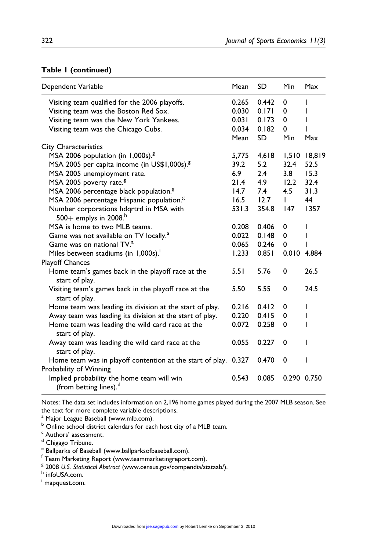#### Table 1 (continued)

| Dependent Variable                                                                        | Mean        | SD        | <b>Min</b>  | Max          |
|-------------------------------------------------------------------------------------------|-------------|-----------|-------------|--------------|
| Visiting team qualified for the 2006 playoffs.                                            | 0.265       | 0.442     | 0           | ı            |
| Visiting team was the Boston Red Sox.                                                     | 0.030       | 0.171     | 0           | I            |
| Visiting team was the New York Yankees.                                                   | 0.031       | 0.173     | 0           | ı            |
| Visiting team was the Chicago Cubs.                                                       | 0.034       | 0.182     | 0           |              |
|                                                                                           | Mean        | <b>SD</b> | Min         | Max          |
| City Characteristics                                                                      |             |           |             |              |
| MSA 2006 population (in 1,000s). <sup>8</sup>                                             | 5,775       | 4,618     |             | 1,510 18,819 |
| MSA 2005 per capita income (in US\$1,000s). <sup>8</sup>                                  | 39.2        | 5.2       | 32.4        | 52.5         |
| MSA 2005 unemployment rate.                                                               | 6.9         | 2.4       | 3.8         | 15.3         |
| MSA 2005 poverty rate. <sup>8</sup>                                                       | 21.4        | 4.9       | 12.2        | 32.4         |
| MSA 2006 percentage black population. <sup>8</sup>                                        | 14.7        | 7.4       | 4.5         | 31.3         |
| MSA 2006 percentage Hispanic population. <sup>8</sup>                                     | $16.5$ 12.7 |           | Ш           | 44           |
| Number corporations hdqrtrd in MSA with<br>500+ emplys in 2008. <sup>h</sup>              | 531.3       | 354.8     | 147         | 1357         |
| MSA is home to two MLB teams.                                                             | 0.208       | 0.406     | 0           | I            |
| Game was not available on TV locally. <sup>a</sup>                                        | 0.022       | 0.148     | $\mathbf 0$ | I            |
| Game was on national TV. <sup>a</sup>                                                     | 0.065       | 0.246     | 0           |              |
| Miles between stadiums (in 1,000s).                                                       | 1.233       | 0.851     | 0.010 4.884 |              |
| <b>Playoff Chances</b>                                                                    |             |           |             |              |
| Home team's games back in the playoff race at the<br>start of play.                       | 5.51        | 5.76      | $\Omega$    | 26.5         |
| Visiting team's games back in the playoff race at the<br>start of play.                   | 5.50        | 5.55      | $\mathbf 0$ | 24.5         |
| Home team was leading its division at the start of play.                                  | 0.216       | 0.412     | 0           | I            |
| Away team was leading its division at the start of play.                                  | 0.220       | 0.415     | 0           | I            |
| Home team was leading the wild card race at the<br>start of play.                         | 0.072       | 0.258     | $\Omega$    | ı            |
| Away team was leading the wild card race at the<br>start of play.                         | 0.055       | 0.227     | $\Omega$    | ı            |
| Home team was in playoff contention at the start of play. 0.327<br>Probability of Winning |             | 0.470     | 0           | ı            |
| Implied probability the home team will win<br>(from betting lines). <sup>d</sup>          | 0.543       | 0.085     | 0.290 0.750 |              |

Notes: The data set includes information on 2,196 home games played during the 2007 MLB season. See the text for more complete variable descriptions.

<sup>a</sup> Major League Baseball (www.mlb.com).

b Online school district calendars for each host city of a MLB team.

<sup>c</sup> Authors' assessment.

<sup>d</sup> Chigago Tribune.

<sup>e</sup> Ballparks of Baseball (www.ballparksofbaseball.com).

f Team Marketing Report (www.teammarketingreport.com).

 $8$  2008 U.S. Statistical Abstract (www.census.gov/compendia/stataab/).<br>h infoUSA.com.

i mapquest.com.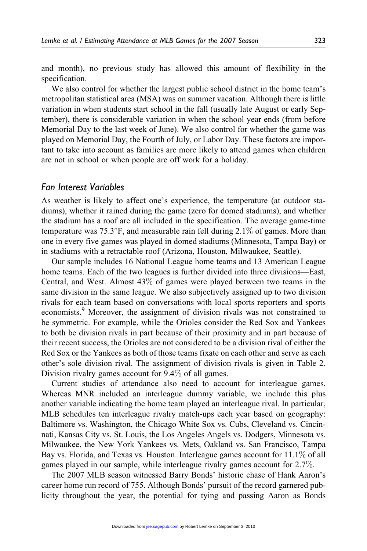and month), no previous study has allowed this amount of flexibility in the specification.

We also control for whether the largest public school district in the home team's metropolitan statistical area (MSA) was on summer vacation. Although there is little variation in when students start school in the fall (usually late August or early September), there is considerable variation in when the school year ends (from before Memorial Day to the last week of June). We also control for whether the game was played on Memorial Day, the Fourth of July, or Labor Day. These factors are important to take into account as families are more likely to attend games when children are not in school or when people are off work for a holiday.

#### Fan Interest Variables

As weather is likely to affect one's experience, the temperature (at outdoor stadiums), whether it rained during the game (zero for domed stadiums), and whether the stadium has a roof are all included in the specification. The average game-time temperature was  $75.3^{\circ}$ F, and measurable rain fell during 2.1% of games. More than one in every five games was played in domed stadiums (Minnesota, Tampa Bay) or in stadiums with a retractable roof (Arizona, Houston, Milwaukee, Seattle).

Our sample includes 16 National League home teams and 13 American League home teams. Each of the two leagues is further divided into three divisions—East, Central, and West. Almost 43% of games were played between two teams in the same division in the same league. We also subjectively assigned up to two division rivals for each team based on conversations with local sports reporters and sports economists.<sup>9</sup> Moreover, the assignment of division rivals was not constrained to be symmetric. For example, while the Orioles consider the Red Sox and Yankees to both be division rivals in part because of their proximity and in part because of their recent success, the Orioles are not considered to be a division rival of either the Red Sox or the Yankees as both of those teams fixate on each other and serve as each other's sole division rival. The assignment of division rivals is given in Table 2. Division rivalry games account for 9.4% of all games.

Current studies of attendance also need to account for interleague games. Whereas MNR included an interleague dummy variable, we include this plus another variable indicating the home team played an interleague rival. In particular, MLB schedules ten interleague rivalry match-ups each year based on geography: Baltimore vs. Washington, the Chicago White Sox vs. Cubs, Cleveland vs. Cincinnati, Kansas City vs. St. Louis, the Los Angeles Angels vs. Dodgers, Minnesota vs. Milwaukee, the New York Yankees vs. Mets, Oakland vs. San Francisco, Tampa Bay vs. Florida, and Texas vs. Houston. Interleague games account for 11.1% of all games played in our sample, while interleague rivalry games account for 2.7%.

The 2007 MLB season witnessed Barry Bonds' historic chase of Hank Aaron's career home run record of 755. Although Bonds' pursuit of the record garnered publicity throughout the year, the potential for tying and passing Aaron as Bonds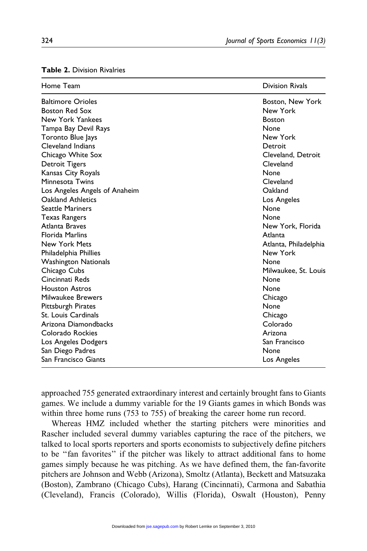| Home Team                     | <b>Division Rivals</b> |
|-------------------------------|------------------------|
| <b>Baltimore Orioles</b>      | Boston, New York       |
| <b>Boston Red Sox</b>         | New York               |
| New York Yankees              | <b>Boston</b>          |
| Tampa Bay Devil Rays          | None                   |
| Toronto Blue Jays             | New York               |
| Cleveland Indians             | Detroit                |
| Chicago White Sox             | Cleveland, Detroit     |
| Detroit Tigers                | Cleveland              |
| Kansas City Royals            | None                   |
| Minnesota Twins               | Cleveland              |
| Los Angeles Angels of Anaheim | Oakland                |
| Oakland Athletics             | Los Angeles            |
| <b>Seattle Mariners</b>       | None                   |
| Texas Rangers                 | None                   |
| Atlanta Braves                | New York, Florida      |
| <b>Florida Marlins</b>        | Atlanta                |
| <b>New York Mets</b>          | Atlanta, Philadelphia  |
| Philadelphia Phillies         | New York               |
| <b>Washington Nationals</b>   | None                   |
| Chicago Cubs                  | Milwaukee, St. Louis   |
| Cincinnati Reds               | None                   |
| <b>Houston Astros</b>         | None                   |
| Milwaukee Brewers             | Chicago                |
| Pittsburgh Pirates            | None                   |
| St. Louis Cardinals           | Chicago                |
| Arizona Diamondbacks          | Colorado               |
| Colorado Rockies              | Arizona                |
| Los Angeles Dodgers           | San Francisco          |
| San Diego Padres              | None                   |
| San Francisco Giants          | Los Angeles            |

#### Table 2. Division Rivalries

approached 755 generated extraordinary interest and certainly brought fans to Giants games. We include a dummy variable for the 19 Giants games in which Bonds was within three home runs (753 to 755) of breaking the career home run record.

Whereas HMZ included whether the starting pitchers were minorities and Rascher included several dummy variables capturing the race of the pitchers, we talked to local sports reporters and sports economists to subjectively define pitchers to be ''fan favorites'' if the pitcher was likely to attract additional fans to home games simply because he was pitching. As we have defined them, the fan-favorite pitchers are Johnson and Webb (Arizona), Smoltz (Atlanta), Beckett and Matsuzaka (Boston), Zambrano (Chicago Cubs), Harang (Cincinnati), Carmona and Sabathia (Cleveland), Francis (Colorado), Willis (Florida), Oswalt (Houston), Penny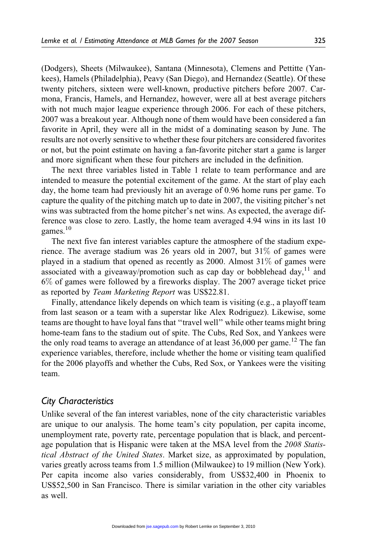(Dodgers), Sheets (Milwaukee), Santana (Minnesota), Clemens and Pettitte (Yankees), Hamels (Philadelphia), Peavy (San Diego), and Hernandez (Seattle). Of these twenty pitchers, sixteen were well-known, productive pitchers before 2007. Carmona, Francis, Hamels, and Hernandez, however, were all at best average pitchers with not much major league experience through 2006. For each of these pitchers, 2007 was a breakout year. Although none of them would have been considered a fan favorite in April, they were all in the midst of a dominating season by June. The results are not overly sensitive to whether these four pitchers are considered favorites or not, but the point estimate on having a fan-favorite pitcher start a game is larger and more significant when these four pitchers are included in the definition.

The next three variables listed in Table 1 relate to team performance and are intended to measure the potential excitement of the game. At the start of play each day, the home team had previously hit an average of 0.96 home runs per game. To capture the quality of the pitching match up to date in 2007, the visiting pitcher's net wins was subtracted from the home pitcher's net wins. As expected, the average difference was close to zero. Lastly, the home team averaged 4.94 wins in its last 10 games. $10$ 

The next five fan interest variables capture the atmosphere of the stadium experience. The average stadium was 26 years old in 2007, but 31% of games were played in a stadium that opened as recently as 2000. Almost  $31\%$  of games were associated with a giveaway/promotion such as cap day or bobblehead day, $^{11}$  and 6% of games were followed by a fireworks display. The 2007 average ticket price as reported by Team Marketing Report was US\$22.81.

Finally, attendance likely depends on which team is visiting (e.g., a playoff team from last season or a team with a superstar like Alex Rodriguez). Likewise, some teams are thought to have loyal fans that ''travel well'' while other teams might bring home-team fans to the stadium out of spite. The Cubs, Red Sox, and Yankees were the only road teams to average an attendance of at least  $36,000$  per game.<sup>12</sup> The fan experience variables, therefore, include whether the home or visiting team qualified for the 2006 playoffs and whether the Cubs, Red Sox, or Yankees were the visiting team.

#### City Characteristics

Unlike several of the fan interest variables, none of the city characteristic variables are unique to our analysis. The home team's city population, per capita income, unemployment rate, poverty rate, percentage population that is black, and percentage population that is Hispanic were taken at the MSA level from the 2008 Statistical Abstract of the United States. Market size, as approximated by population, varies greatly across teams from 1.5 million (Milwaukee) to 19 million (New York). Per capita income also varies considerably, from US\$32,400 in Phoenix to US\$52,500 in San Francisco. There is similar variation in the other city variables as well.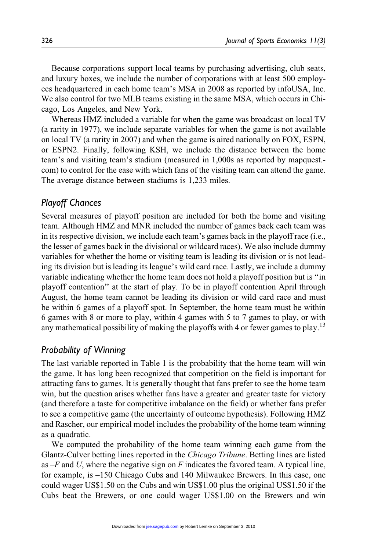Because corporations support local teams by purchasing advertising, club seats, and luxury boxes, we include the number of corporations with at least 500 employees headquartered in each home team's MSA in 2008 as reported by infoUSA, Inc. We also control for two MLB teams existing in the same MSA, which occurs in Chicago, Los Angeles, and New York.

Whereas HMZ included a variable for when the game was broadcast on local TV (a rarity in 1977), we include separate variables for when the game is not available on local TV (a rarity in 2007) and when the game is aired nationally on FOX, ESPN, or ESPN2. Finally, following KSH, we include the distance between the home team's and visiting team's stadium (measured in 1,000s as reported by mapquest. com) to control for the ease with which fans of the visiting team can attend the game. The average distance between stadiums is 1,233 miles.

## Playoff Chances

Several measures of playoff position are included for both the home and visiting team. Although HMZ and MNR included the number of games back each team was in its respective division, we include each team's games back in the playoff race (i.e., the lesser of games back in the divisional or wildcard races). We also include dummy variables for whether the home or visiting team is leading its division or is not leading its division but is leading its league's wild card race. Lastly, we include a dummy variable indicating whether the home team does not hold a playoff position but is ''in playoff contention'' at the start of play. To be in playoff contention April through August, the home team cannot be leading its division or wild card race and must be within 6 games of a playoff spot. In September, the home team must be within 6 games with 8 or more to play, within 4 games with 5 to 7 games to play, or with any mathematical possibility of making the playoffs with 4 or fewer games to play.<sup>13</sup>

# Probability of Winning

The last variable reported in Table 1 is the probability that the home team will win the game. It has long been recognized that competition on the field is important for attracting fans to games. It is generally thought that fans prefer to see the home team win, but the question arises whether fans have a greater and greater taste for victory (and therefore a taste for competitive imbalance on the field) or whether fans prefer to see a competitive game (the uncertainty of outcome hypothesis). Following HMZ and Rascher, our empirical model includes the probability of the home team winning as a quadratic.

We computed the probability of the home team winning each game from the Glantz-Culver betting lines reported in the Chicago Tribune. Betting lines are listed as  $-F$  and U, where the negative sign on F indicates the favored team. A typical line, for example, is –150 Chicago Cubs and 140 Milwaukee Brewers. In this case, one could wager US\$1.50 on the Cubs and win US\$1.00 plus the original US\$1.50 if the Cubs beat the Brewers, or one could wager US\$1.00 on the Brewers and win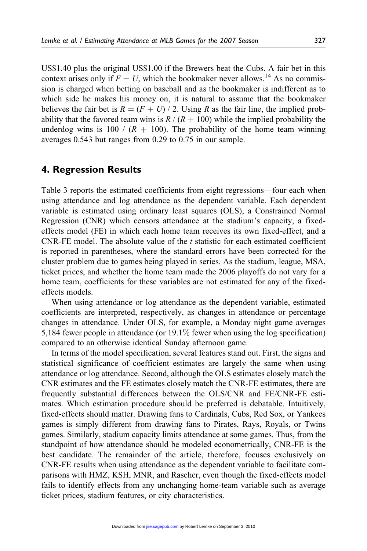US\$1.40 plus the original US\$1.00 if the Brewers beat the Cubs. A fair bet in this context arises only if  $F = U$ , which the bookmaker never allows.<sup>14</sup> As no commission is charged when betting on baseball and as the bookmaker is indifferent as to which side he makes his money on, it is natural to assume that the bookmaker believes the fair bet is  $R = (F + U)/2$ . Using R as the fair line, the implied probability that the favored team wins is  $R / (R + 100)$  while the implied probability the underdog wins is 100 /  $(R + 100)$ . The probability of the home team winning averages 0.543 but ranges from 0.29 to 0.75 in our sample.

# 4. Regression Results

Table 3 reports the estimated coefficients from eight regressions—four each when using attendance and log attendance as the dependent variable. Each dependent variable is estimated using ordinary least squares (OLS), a Constrained Normal Regression (CNR) which censors attendance at the stadium's capacity, a fixedeffects model (FE) in which each home team receives its own fixed-effect, and a CNR-FE model. The absolute value of the  $t$  statistic for each estimated coefficient is reported in parentheses, where the standard errors have been corrected for the cluster problem due to games being played in series. As the stadium, league, MSA, ticket prices, and whether the home team made the 2006 playoffs do not vary for a home team, coefficients for these variables are not estimated for any of the fixedeffects models.

When using attendance or log attendance as the dependent variable, estimated coefficients are interpreted, respectively, as changes in attendance or percentage changes in attendance. Under OLS, for example, a Monday night game averages 5,184 fewer people in attendance (or 19.1% fewer when using the log specification) compared to an otherwise identical Sunday afternoon game.

In terms of the model specification, several features stand out. First, the signs and statistical significance of coefficient estimates are largely the same when using attendance or log attendance. Second, although the OLS estimates closely match the CNR estimates and the FE estimates closely match the CNR-FE estimates, there are frequently substantial differences between the OLS/CNR and FE/CNR-FE estimates. Which estimation procedure should be preferred is debatable. Intuitively, fixed-effects should matter. Drawing fans to Cardinals, Cubs, Red Sox, or Yankees games is simply different from drawing fans to Pirates, Rays, Royals, or Twins games. Similarly, stadium capacity limits attendance at some games. Thus, from the standpoint of how attendance should be modeled econometrically, CNR-FE is the best candidate. The remainder of the article, therefore, focuses exclusively on CNR-FE results when using attendance as the dependent variable to facilitate comparisons with HMZ, KSH, MNR, and Rascher, even though the fixed-effects model fails to identify effects from any unchanging home-team variable such as average ticket prices, stadium features, or city characteristics.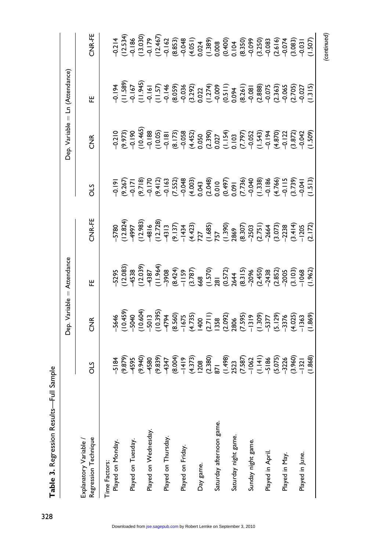|                                                |     |                                                                                                                                                                                                                                                                                                                                                                                                        | Dep. Variable = Attendance                                                                                                                                                                                                                                        |        |                                                                                                                                                                                                                                                                                                     |                                                                                                                                                                                                                                                                | Dep. Variable = Ln (Attendance)                                                                                                                                                                                                                                                                     |                                                                                                                                                                                                                                                                                             |
|------------------------------------------------|-----|--------------------------------------------------------------------------------------------------------------------------------------------------------------------------------------------------------------------------------------------------------------------------------------------------------------------------------------------------------------------------------------------------------|-------------------------------------------------------------------------------------------------------------------------------------------------------------------------------------------------------------------------------------------------------------------|--------|-----------------------------------------------------------------------------------------------------------------------------------------------------------------------------------------------------------------------------------------------------------------------------------------------------|----------------------------------------------------------------------------------------------------------------------------------------------------------------------------------------------------------------------------------------------------------------|-----------------------------------------------------------------------------------------------------------------------------------------------------------------------------------------------------------------------------------------------------------------------------------------------------|---------------------------------------------------------------------------------------------------------------------------------------------------------------------------------------------------------------------------------------------------------------------------------------------|
| Regression Technique<br>Explanatory Variable / | STO | 乡<br>石                                                                                                                                                                                                                                                                                                                                                                                                 | 뿐                                                                                                                                                                                                                                                                 | CNR-FE | STC                                                                                                                                                                                                                                                                                                 | $\frac{1}{2}$                                                                                                                                                                                                                                                  | 뿐                                                                                                                                                                                                                                                                                                   | CNR-FE                                                                                                                                                                                                                                                                                      |
| Time Factors:                                  |     |                                                                                                                                                                                                                                                                                                                                                                                                        |                                                                                                                                                                                                                                                                   |        |                                                                                                                                                                                                                                                                                                     |                                                                                                                                                                                                                                                                |                                                                                                                                                                                                                                                                                                     |                                                                                                                                                                                                                                                                                             |
| Played on Monday.                              |     |                                                                                                                                                                                                                                                                                                                                                                                                        |                                                                                                                                                                                                                                                                   |        |                                                                                                                                                                                                                                                                                                     |                                                                                                                                                                                                                                                                |                                                                                                                                                                                                                                                                                                     |                                                                                                                                                                                                                                                                                             |
|                                                |     |                                                                                                                                                                                                                                                                                                                                                                                                        |                                                                                                                                                                                                                                                                   |        |                                                                                                                                                                                                                                                                                                     |                                                                                                                                                                                                                                                                |                                                                                                                                                                                                                                                                                                     |                                                                                                                                                                                                                                                                                             |
| Played on Tuesday.                             |     |                                                                                                                                                                                                                                                                                                                                                                                                        |                                                                                                                                                                                                                                                                   |        |                                                                                                                                                                                                                                                                                                     |                                                                                                                                                                                                                                                                |                                                                                                                                                                                                                                                                                                     |                                                                                                                                                                                                                                                                                             |
|                                                |     |                                                                                                                                                                                                                                                                                                                                                                                                        |                                                                                                                                                                                                                                                                   |        |                                                                                                                                                                                                                                                                                                     |                                                                                                                                                                                                                                                                |                                                                                                                                                                                                                                                                                                     |                                                                                                                                                                                                                                                                                             |
| Played on Wednesday.                           |     |                                                                                                                                                                                                                                                                                                                                                                                                        |                                                                                                                                                                                                                                                                   |        |                                                                                                                                                                                                                                                                                                     |                                                                                                                                                                                                                                                                |                                                                                                                                                                                                                                                                                                     |                                                                                                                                                                                                                                                                                             |
|                                                |     |                                                                                                                                                                                                                                                                                                                                                                                                        |                                                                                                                                                                                                                                                                   |        |                                                                                                                                                                                                                                                                                                     |                                                                                                                                                                                                                                                                |                                                                                                                                                                                                                                                                                                     |                                                                                                                                                                                                                                                                                             |
| Played on Thursday.                            |     |                                                                                                                                                                                                                                                                                                                                                                                                        |                                                                                                                                                                                                                                                                   |        |                                                                                                                                                                                                                                                                                                     |                                                                                                                                                                                                                                                                |                                                                                                                                                                                                                                                                                                     |                                                                                                                                                                                                                                                                                             |
|                                                |     |                                                                                                                                                                                                                                                                                                                                                                                                        |                                                                                                                                                                                                                                                                   |        |                                                                                                                                                                                                                                                                                                     |                                                                                                                                                                                                                                                                |                                                                                                                                                                                                                                                                                                     |                                                                                                                                                                                                                                                                                             |
| Played on Friday.                              |     |                                                                                                                                                                                                                                                                                                                                                                                                        |                                                                                                                                                                                                                                                                   |        |                                                                                                                                                                                                                                                                                                     |                                                                                                                                                                                                                                                                |                                                                                                                                                                                                                                                                                                     |                                                                                                                                                                                                                                                                                             |
|                                                |     |                                                                                                                                                                                                                                                                                                                                                                                                        |                                                                                                                                                                                                                                                                   |        |                                                                                                                                                                                                                                                                                                     |                                                                                                                                                                                                                                                                |                                                                                                                                                                                                                                                                                                     |                                                                                                                                                                                                                                                                                             |
| Day game.                                      |     |                                                                                                                                                                                                                                                                                                                                                                                                        |                                                                                                                                                                                                                                                                   |        |                                                                                                                                                                                                                                                                                                     |                                                                                                                                                                                                                                                                |                                                                                                                                                                                                                                                                                                     |                                                                                                                                                                                                                                                                                             |
|                                                |     |                                                                                                                                                                                                                                                                                                                                                                                                        |                                                                                                                                                                                                                                                                   |        |                                                                                                                                                                                                                                                                                                     |                                                                                                                                                                                                                                                                |                                                                                                                                                                                                                                                                                                     |                                                                                                                                                                                                                                                                                             |
| Saturday afternoon game.                       |     |                                                                                                                                                                                                                                                                                                                                                                                                        |                                                                                                                                                                                                                                                                   |        |                                                                                                                                                                                                                                                                                                     |                                                                                                                                                                                                                                                                |                                                                                                                                                                                                                                                                                                     |                                                                                                                                                                                                                                                                                             |
|                                                |     |                                                                                                                                                                                                                                                                                                                                                                                                        |                                                                                                                                                                                                                                                                   |        |                                                                                                                                                                                                                                                                                                     |                                                                                                                                                                                                                                                                |                                                                                                                                                                                                                                                                                                     |                                                                                                                                                                                                                                                                                             |
| Saturday night game.                           |     |                                                                                                                                                                                                                                                                                                                                                                                                        |                                                                                                                                                                                                                                                                   |        |                                                                                                                                                                                                                                                                                                     |                                                                                                                                                                                                                                                                |                                                                                                                                                                                                                                                                                                     |                                                                                                                                                                                                                                                                                             |
|                                                |     |                                                                                                                                                                                                                                                                                                                                                                                                        |                                                                                                                                                                                                                                                                   |        |                                                                                                                                                                                                                                                                                                     |                                                                                                                                                                                                                                                                |                                                                                                                                                                                                                                                                                                     |                                                                                                                                                                                                                                                                                             |
| Sunday night game.                             |     |                                                                                                                                                                                                                                                                                                                                                                                                        |                                                                                                                                                                                                                                                                   |        |                                                                                                                                                                                                                                                                                                     |                                                                                                                                                                                                                                                                |                                                                                                                                                                                                                                                                                                     |                                                                                                                                                                                                                                                                                             |
|                                                |     |                                                                                                                                                                                                                                                                                                                                                                                                        |                                                                                                                                                                                                                                                                   |        |                                                                                                                                                                                                                                                                                                     |                                                                                                                                                                                                                                                                |                                                                                                                                                                                                                                                                                                     |                                                                                                                                                                                                                                                                                             |
| Played in April.                               |     |                                                                                                                                                                                                                                                                                                                                                                                                        |                                                                                                                                                                                                                                                                   |        |                                                                                                                                                                                                                                                                                                     |                                                                                                                                                                                                                                                                |                                                                                                                                                                                                                                                                                                     |                                                                                                                                                                                                                                                                                             |
|                                                |     |                                                                                                                                                                                                                                                                                                                                                                                                        |                                                                                                                                                                                                                                                                   |        |                                                                                                                                                                                                                                                                                                     |                                                                                                                                                                                                                                                                |                                                                                                                                                                                                                                                                                                     |                                                                                                                                                                                                                                                                                             |
| Played in May.                                 |     |                                                                                                                                                                                                                                                                                                                                                                                                        |                                                                                                                                                                                                                                                                   |        |                                                                                                                                                                                                                                                                                                     |                                                                                                                                                                                                                                                                |                                                                                                                                                                                                                                                                                                     |                                                                                                                                                                                                                                                                                             |
|                                                |     |                                                                                                                                                                                                                                                                                                                                                                                                        |                                                                                                                                                                                                                                                                   |        |                                                                                                                                                                                                                                                                                                     |                                                                                                                                                                                                                                                                |                                                                                                                                                                                                                                                                                                     |                                                                                                                                                                                                                                                                                             |
| Played in June.                                |     |                                                                                                                                                                                                                                                                                                                                                                                                        |                                                                                                                                                                                                                                                                   |        |                                                                                                                                                                                                                                                                                                     |                                                                                                                                                                                                                                                                |                                                                                                                                                                                                                                                                                                     |                                                                                                                                                                                                                                                                                             |
|                                                |     | $\begin{array}{cccccc} 4 & 4 & 69 \\ -1 & -1 & -1 & -1 \\ -1 & -1 & -1 & -1 \\ -1 & -1 & -1 & -1 \\ -1 & -1 & -1 & -1 \\ -1 & -1 & -1 & -1 \\ -1 & -1 & -1 & -1 \\ -1 & -1 & -1 & -1 \\ -1 & -1 & -1 & -1 \\ -1 & -1 & -1 & -1 \\ -1 & -1 & -1 & -1 \\ -1 & -1 & -1 & -1 \\ -1 & -1 & -1 & -1 \\ -1 & -1 & -1 & -1 \\ -1 & -1 & -1 & -1 \\ -1 & -1 & -1 & -1 \\ -1 & -1 & -1 & -1 \\ -1 & -1 & -1 & -$ | $\begin{array}{l} 56,030\\ 72,030\\ 84,030\\ 96,030\\ 97,030\\ 98,030\\ 99,030\\ 99,030\\ 99,030\\ 99,030\\ 99,030\\ 99,030\\ 99,030\\ 99,030\\ 99,030\\ 99,030\\ 99,030\\ 99,030\\ 99,030\\ 99,030\\ 99,030\\ 99,030\\ 99,030\\ 99,030\\ 99,030\\ 99,030\\ 99,0$ |        | $\begin{array}{l} 1.985 \\ 1.985 \\ 1.995 \\ 1.995 \\ 1.995 \\ 1.995 \\ 1.995 \\ 1.995 \\ 1.995 \\ 1.995 \\ 1.995 \\ 1.995 \\ 1.995 \\ 1.995 \\ 1.995 \\ 1.995 \\ 1.995 \\ 1.995 \\ 1.995 \\ 1.995 \\ 1.995 \\ 1.995 \\ 1.995 \\ 1.995 \\ 1.995 \\ 1.995 \\ 1.995 \\ 1.995 \\ 1.995 \\ 1.995 \\ 1.$ | $\begin{array}{l} 2,00000\\ 2,00000\\ 4,00000\\ 0,00000\\ 0,00000\\ 0,00000\\ 0,00000\\ 0,00000\\ 0,00000\\ 0,00000\\ 0,00000\\ 0,00000\\ 0,00000\\ 0,00000\\ 0,00000\\ 0,00000\\ 0,00000\\ 0,00000\\ 0,00000\\ 0,00000\\ 0,00000\\ 0,00000\\ 0,00000\\ 0,000$ | $\begin{array}{l} 4.889 \\ 7.1928 \\ 8.993 \\ 9.194 \\ 9.195 \\ 9.196 \\ 9.197 \\ 9.197 \\ 9.197 \\ 9.197 \\ 9.197 \\ 9.197 \\ 9.197 \\ 9.197 \\ 9.197 \\ 9.197 \\ 9.197 \\ 9.197 \\ 9.197 \\ 9.197 \\ 9.197 \\ 9.197 \\ 9.197 \\ 9.197 \\ 9.197 \\ 9.197 \\ 9.197 \\ 9.197 \\ 9.197 \\ 9.197 \\ 9$ | $\begin{array}{l} 7.714 \\ 7.1436 \\ 8.1456 \\ 9.1456 \\ 1.4576 \\ 1.4586 \\ 1.4596 \\ 1.4506 \\ 1.4506 \\ 1.4506 \\ 1.4506 \\ 1.4506 \\ 1.4506 \\ 1.4506 \\ 1.4506 \\ 1.4506 \\ 1.4506 \\ 1.4506 \\ 1.4506 \\ 1.4506 \\ 1.4506 \\ 1.4506 \\ 1.4506 \\ 1.4506 \\ 1.4506 \\ 1.4506 \\ 1.450$ |
|                                                |     |                                                                                                                                                                                                                                                                                                                                                                                                        |                                                                                                                                                                                                                                                                   |        |                                                                                                                                                                                                                                                                                                     |                                                                                                                                                                                                                                                                |                                                                                                                                                                                                                                                                                                     | continued                                                                                                                                                                                                                                                                                   |

Table 3. Regression Results-Full Sample  ${\sf Table\ 3.}$  Regression Results—Full Sample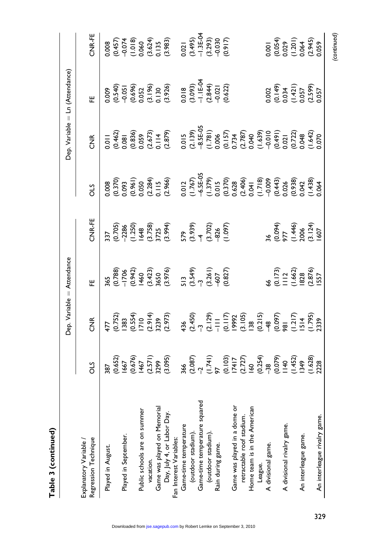|              | tter<br>$rule =$<br>ອີ<br>ſ |
|--------------|-----------------------------|
|              |                             |
| ì<br>م<br>اط |                             |

|                                                |     |             | Dep. Variable = Attendance                                                                            |                                                                                                                                                                                                                                                                                                                                                                                     |                                                                                                                                                                                                                                                                   | Dep. Variable = Ln (Attendance) |                                                                                                                                                                                                                                                                                             |                                                      |
|------------------------------------------------|-----|-------------|-------------------------------------------------------------------------------------------------------|-------------------------------------------------------------------------------------------------------------------------------------------------------------------------------------------------------------------------------------------------------------------------------------------------------------------------------------------------------------------------------------|-------------------------------------------------------------------------------------------------------------------------------------------------------------------------------------------------------------------------------------------------------------------|---------------------------------|---------------------------------------------------------------------------------------------------------------------------------------------------------------------------------------------------------------------------------------------------------------------------------------------|------------------------------------------------------|
| Regression Technique<br>Explanatory Variable / | STO | E<br>E<br>C | .<br>또                                                                                                | CNR-FE                                                                                                                                                                                                                                                                                                                                                                              | STO                                                                                                                                                                                                                                                               | $\widetilde{Z}$                 | 。<br>出                                                                                                                                                                                                                                                                                      | CNR-FE                                               |
| Played in August.                              |     |             | 365<br>(0.788)<br>(0.942)<br>(0.942)<br>(1.960 (3.42)<br>(3.549)<br>513 (3.549)<br>(3.827)<br>(0.827) | $\begin{array}{cc}\n 337 \\  1270 \\  1280 \\  -286 \\  -1250 \\  -1250 \\  -1250 \\  -1250 \\  -1250 \\  -1250 \\  -1250 \\  -1250 \\  -1250 \\  -1250 \\  -1250 \\  -1250 \\  -1250 \\  -1250 \\  -1250 \\  -1250 \\  -1250 \\  -1250 \\  -1250 \\  -1250 \\  -1250 \\  -1250 \\  -1250 \\  -1250 \\  -1250 \\  -1250 \\  -1250 \\  -1250 \\  -1250 \\  -1250 \\  -1250 \\  -125$ | $\begin{array}{l} 0.008\\ 0.0093\\ 0.0093\\ 0.0093\\ 0.0094\\ 0.0093\\ 0.0094\\ 0.0093\\ 0.0094\\ 0.0094\\ 0.0094\\ 0.0094\\ 0.0094\\ 0.0094\\ 0.0094\\ 0.0094\\ 0.0094\\ 0.0094\\ 0.0094\\ 0.0094\\ 0.0094\\ 0.0094\\ 0.0094\\ 0.0094\\ 0.0094\\ 0.0094\\ 0.009$ |                                 |                                                                                                                                                                                                                                                                                             |                                                      |
|                                                |     |             |                                                                                                       |                                                                                                                                                                                                                                                                                                                                                                                     |                                                                                                                                                                                                                                                                   |                                 |                                                                                                                                                                                                                                                                                             |                                                      |
| Played in September.                           |     |             |                                                                                                       |                                                                                                                                                                                                                                                                                                                                                                                     |                                                                                                                                                                                                                                                                   |                                 |                                                                                                                                                                                                                                                                                             |                                                      |
|                                                |     |             |                                                                                                       |                                                                                                                                                                                                                                                                                                                                                                                     |                                                                                                                                                                                                                                                                   |                                 | $\begin{array}{r} 0.009\\ (0.540)\\ (0.636)\\ (0.636)\\ (0.632)\\ (1.180)\\ (1.190)\\ (1.100)\\ (1.100)\\ (1.110)\\ (1.100)\\ (1.110)\\ (1.110)\\ (1.110)\\ (1.110)\\ (1.110)\\ (1.110)\\ (1.110)\\ (1.100)\\ (1.110)\\ (1.110)\\ (1.110)\\ (1.110)\\ (1.110)\\ (1.110)\\ (1.110)\\ (1.110$ |                                                      |
| Public schools are on summer                   |     |             |                                                                                                       |                                                                                                                                                                                                                                                                                                                                                                                     |                                                                                                                                                                                                                                                                   |                                 |                                                                                                                                                                                                                                                                                             |                                                      |
| vacation.                                      |     |             |                                                                                                       |                                                                                                                                                                                                                                                                                                                                                                                     |                                                                                                                                                                                                                                                                   |                                 |                                                                                                                                                                                                                                                                                             |                                                      |
| vacaron.<br>Game was played on Memorial        |     |             |                                                                                                       |                                                                                                                                                                                                                                                                                                                                                                                     |                                                                                                                                                                                                                                                                   |                                 |                                                                                                                                                                                                                                                                                             |                                                      |
| Day, July 4, or Labor Day.                     |     |             |                                                                                                       |                                                                                                                                                                                                                                                                                                                                                                                     |                                                                                                                                                                                                                                                                   |                                 |                                                                                                                                                                                                                                                                                             |                                                      |
| Fan Interest Variables:                        |     |             |                                                                                                       |                                                                                                                                                                                                                                                                                                                                                                                     |                                                                                                                                                                                                                                                                   |                                 |                                                                                                                                                                                                                                                                                             |                                                      |
| Game-time temperature                          |     |             |                                                                                                       |                                                                                                                                                                                                                                                                                                                                                                                     |                                                                                                                                                                                                                                                                   |                                 |                                                                                                                                                                                                                                                                                             |                                                      |
| (outdoor stadium).                             |     |             |                                                                                                       |                                                                                                                                                                                                                                                                                                                                                                                     |                                                                                                                                                                                                                                                                   |                                 |                                                                                                                                                                                                                                                                                             |                                                      |
| Game-time temperature squared                  |     |             |                                                                                                       |                                                                                                                                                                                                                                                                                                                                                                                     |                                                                                                                                                                                                                                                                   |                                 |                                                                                                                                                                                                                                                                                             |                                                      |
| (outdoor stadium).                             |     |             |                                                                                                       |                                                                                                                                                                                                                                                                                                                                                                                     |                                                                                                                                                                                                                                                                   |                                 |                                                                                                                                                                                                                                                                                             |                                                      |
| Rain during game.                              |     |             |                                                                                                       |                                                                                                                                                                                                                                                                                                                                                                                     |                                                                                                                                                                                                                                                                   |                                 |                                                                                                                                                                                                                                                                                             |                                                      |
|                                                |     |             |                                                                                                       |                                                                                                                                                                                                                                                                                                                                                                                     |                                                                                                                                                                                                                                                                   |                                 |                                                                                                                                                                                                                                                                                             |                                                      |
| Game was played in a dome or                   |     |             |                                                                                                       |                                                                                                                                                                                                                                                                                                                                                                                     |                                                                                                                                                                                                                                                                   |                                 |                                                                                                                                                                                                                                                                                             |                                                      |
| retractable roof stadium.                      |     |             |                                                                                                       |                                                                                                                                                                                                                                                                                                                                                                                     |                                                                                                                                                                                                                                                                   |                                 |                                                                                                                                                                                                                                                                                             |                                                      |
| Home team is in the American                   |     |             |                                                                                                       |                                                                                                                                                                                                                                                                                                                                                                                     |                                                                                                                                                                                                                                                                   |                                 |                                                                                                                                                                                                                                                                                             |                                                      |
| League.                                        |     |             |                                                                                                       |                                                                                                                                                                                                                                                                                                                                                                                     |                                                                                                                                                                                                                                                                   |                                 |                                                                                                                                                                                                                                                                                             |                                                      |
| A divisional game.                             |     |             |                                                                                                       |                                                                                                                                                                                                                                                                                                                                                                                     |                                                                                                                                                                                                                                                                   |                                 |                                                                                                                                                                                                                                                                                             |                                                      |
|                                                |     |             |                                                                                                       |                                                                                                                                                                                                                                                                                                                                                                                     |                                                                                                                                                                                                                                                                   |                                 |                                                                                                                                                                                                                                                                                             |                                                      |
| A divisional rivalry game.                     |     |             |                                                                                                       |                                                                                                                                                                                                                                                                                                                                                                                     |                                                                                                                                                                                                                                                                   |                                 |                                                                                                                                                                                                                                                                                             |                                                      |
|                                                |     |             | 66<br>(0.173)<br>1112<br>(1.662)<br>1557<br>1557                                                      | 36<br>(0.094)<br>977<br>(1.446)<br>(1.124)<br>(3.124)                                                                                                                                                                                                                                                                                                                               |                                                                                                                                                                                                                                                                   |                                 |                                                                                                                                                                                                                                                                                             |                                                      |
| An interleague game.                           |     |             |                                                                                                       |                                                                                                                                                                                                                                                                                                                                                                                     |                                                                                                                                                                                                                                                                   |                                 |                                                                                                                                                                                                                                                                                             |                                                      |
|                                                |     |             |                                                                                                       |                                                                                                                                                                                                                                                                                                                                                                                     |                                                                                                                                                                                                                                                                   |                                 |                                                                                                                                                                                                                                                                                             |                                                      |
| An interleague rivalry game.                   |     |             |                                                                                                       |                                                                                                                                                                                                                                                                                                                                                                                     |                                                                                                                                                                                                                                                                   |                                 | 0.002<br>(0.149)<br>0.034<br>(1.421)<br>0.057<br>0.057                                                                                                                                                                                                                                      | 0.001<br>(0.054)<br>0.029<br>0.064<br>0.059<br>0.059 |
|                                                |     |             |                                                                                                       |                                                                                                                                                                                                                                                                                                                                                                                     |                                                                                                                                                                                                                                                                   |                                 |                                                                                                                                                                                                                                                                                             | (continued)                                          |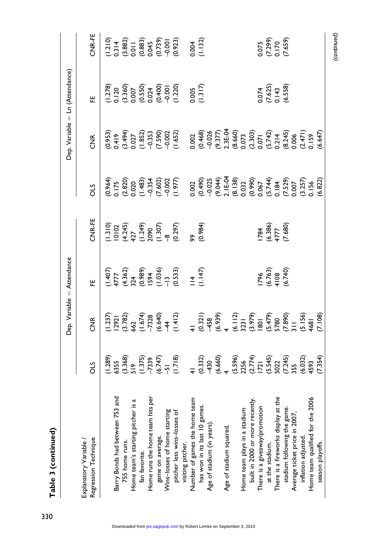|                                                                                                                            |     |                                                                                                                                                                                                                                | Dep. Variable = Attendance                                                                                     |                                                                                                                                    |                                                                                                                                                                                                                   |                                                                                                                                                                                                                                                                               | Dep. Variable = Ln (Attendance)                                                                     |                                        |
|----------------------------------------------------------------------------------------------------------------------------|-----|--------------------------------------------------------------------------------------------------------------------------------------------------------------------------------------------------------------------------------|----------------------------------------------------------------------------------------------------------------|------------------------------------------------------------------------------------------------------------------------------------|-------------------------------------------------------------------------------------------------------------------------------------------------------------------------------------------------------------------|-------------------------------------------------------------------------------------------------------------------------------------------------------------------------------------------------------------------------------------------------------------------------------|-----------------------------------------------------------------------------------------------------|----------------------------------------|
| Regression Technique<br>Explanatory Variable /                                                                             | STC | $\frac{1}{2}$                                                                                                                                                                                                                  |                                                                                                                | CNR-FE                                                                                                                             | STC                                                                                                                                                                                                               | $\frac{1}{2}$                                                                                                                                                                                                                                                                 | 뿐                                                                                                   | CNR-FE                                 |
|                                                                                                                            |     | $(1,37)$ $(1,37)$ $(1,37)$ $(1,37)$ $(1,37)$ $(1,37)$ $(1,37)$ $(1,37)$ $(1,37)$ $(1,37)$ $(1,37)$ $(1,37)$ $(1,37)$ $(1,37)$ $(1,37)$ $(1,37)$ $(1,37)$ $(1,37)$ $(1,37)$ $(1,37)$ $(1,37)$ $(1,37)$ $(1,37)$ $(1,37)$ $(1,3$ | $(1.407)$<br>$4777$<br>$(4.362)$<br>$(6.369)$<br>$(6.369)$<br>$(1.036)$<br>$(1.036)$<br>$(1.147)$<br>$(1.147)$ | $\begin{array}{l} (1.310)\\ (1.0102\\ (1.245)\\ (1.249)\\ (1.3090\\ (1.307)\\ (1.307)\\ (0.297)\\ (0.984)\\ (0.984)\\ \end{array}$ | $(0.364)$ $(0.820)$ $(0.820)$ $(0.820)$ $(0.820)$ $(0.820)$ $(0.820)$ $(0.820)$ $(0.820)$ $(0.820)$ $(0.820)$ $(0.820)$ $(0.820)$ $(0.820)$ $(0.820)$ $(0.820)$ $(0.821)$ $(0.821)$ $(0.822)$ $(0.822)$ $(0.822)$ | $(0.953)$<br>$0.49$<br>$0.49$<br>$0.49$<br>$0.527$<br>$0.533$<br>$0.59$<br>$0.652$<br>$0.652$<br>$0.652$<br>$0.652$<br>$0.652$<br>$0.652$<br>$0.652$<br>$0.652$<br>$0.652$<br>$0.652$<br>$0.652$<br>$0.652$<br>$0.652$<br>$0.652$<br>$0.652$<br>$0.652$<br>$0.652$<br>$0.652$ |                                                                                                     |                                        |
| Barry Bonds had between 753 and                                                                                            |     |                                                                                                                                                                                                                                |                                                                                                                |                                                                                                                                    |                                                                                                                                                                                                                   |                                                                                                                                                                                                                                                                               |                                                                                                     |                                        |
| '55 home runs.                                                                                                             |     |                                                                                                                                                                                                                                |                                                                                                                |                                                                                                                                    |                                                                                                                                                                                                                   |                                                                                                                                                                                                                                                                               |                                                                                                     |                                        |
| Home team's starting pitcher is a $\epsilon_{\text{m}}$ for $\epsilon_{\text{m}}$                                          |     |                                                                                                                                                                                                                                |                                                                                                                |                                                                                                                                    |                                                                                                                                                                                                                   |                                                                                                                                                                                                                                                                               |                                                                                                     |                                        |
| fan favorite.                                                                                                              |     |                                                                                                                                                                                                                                |                                                                                                                |                                                                                                                                    |                                                                                                                                                                                                                   |                                                                                                                                                                                                                                                                               | $(1.278)$<br>$(1.200)$<br>$(1.200)$<br>$(0.550)$<br>$(0.500)$<br>$(0.400)$<br>$(0.400)$<br>$(0.20)$ |                                        |
| hits per<br>Home runs the home team                                                                                        |     |                                                                                                                                                                                                                                |                                                                                                                |                                                                                                                                    |                                                                                                                                                                                                                   |                                                                                                                                                                                                                                                                               |                                                                                                     |                                        |
|                                                                                                                            |     |                                                                                                                                                                                                                                |                                                                                                                |                                                                                                                                    |                                                                                                                                                                                                                   |                                                                                                                                                                                                                                                                               |                                                                                                     |                                        |
|                                                                                                                            |     |                                                                                                                                                                                                                                |                                                                                                                |                                                                                                                                    |                                                                                                                                                                                                                   |                                                                                                                                                                                                                                                                               |                                                                                                     |                                        |
|                                                                                                                            |     |                                                                                                                                                                                                                                |                                                                                                                |                                                                                                                                    |                                                                                                                                                                                                                   |                                                                                                                                                                                                                                                                               |                                                                                                     |                                        |
| visiting pitcher.                                                                                                          |     |                                                                                                                                                                                                                                |                                                                                                                |                                                                                                                                    |                                                                                                                                                                                                                   |                                                                                                                                                                                                                                                                               |                                                                                                     |                                        |
|                                                                                                                            |     |                                                                                                                                                                                                                                |                                                                                                                |                                                                                                                                    |                                                                                                                                                                                                                   |                                                                                                                                                                                                                                                                               |                                                                                                     |                                        |
| Number of games the home team<br>has won in its last 10 games.                                                             |     |                                                                                                                                                                                                                                |                                                                                                                |                                                                                                                                    |                                                                                                                                                                                                                   |                                                                                                                                                                                                                                                                               | 1.317)                                                                                              |                                        |
| Age of stadium (in years).                                                                                                 |     |                                                                                                                                                                                                                                |                                                                                                                |                                                                                                                                    |                                                                                                                                                                                                                   |                                                                                                                                                                                                                                                                               |                                                                                                     |                                        |
|                                                                                                                            |     |                                                                                                                                                                                                                                |                                                                                                                |                                                                                                                                    |                                                                                                                                                                                                                   |                                                                                                                                                                                                                                                                               |                                                                                                     |                                        |
| Age of stadium squared.                                                                                                    |     |                                                                                                                                                                                                                                |                                                                                                                |                                                                                                                                    |                                                                                                                                                                                                                   |                                                                                                                                                                                                                                                                               |                                                                                                     |                                        |
|                                                                                                                            |     |                                                                                                                                                                                                                                |                                                                                                                |                                                                                                                                    |                                                                                                                                                                                                                   |                                                                                                                                                                                                                                                                               |                                                                                                     |                                        |
|                                                                                                                            |     |                                                                                                                                                                                                                                |                                                                                                                |                                                                                                                                    |                                                                                                                                                                                                                   |                                                                                                                                                                                                                                                                               |                                                                                                     |                                        |
| Home team plays in a stadium<br>built in 2000 or more recently.<br>There is a giveaway/promotion<br>- - - -- - - --- -ium. |     |                                                                                                                                                                                                                                |                                                                                                                |                                                                                                                                    |                                                                                                                                                                                                                   |                                                                                                                                                                                                                                                                               |                                                                                                     |                                        |
|                                                                                                                            |     |                                                                                                                                                                                                                                |                                                                                                                |                                                                                                                                    |                                                                                                                                                                                                                   |                                                                                                                                                                                                                                                                               |                                                                                                     |                                        |
|                                                                                                                            |     |                                                                                                                                                                                                                                |                                                                                                                |                                                                                                                                    |                                                                                                                                                                                                                   |                                                                                                                                                                                                                                                                               |                                                                                                     |                                        |
|                                                                                                                            |     |                                                                                                                                                                                                                                |                                                                                                                |                                                                                                                                    |                                                                                                                                                                                                                   |                                                                                                                                                                                                                                                                               |                                                                                                     |                                        |
| There is a fireworks display at the<br>stadium following the game.<br>Average ticket price in 2007,                        |     |                                                                                                                                                                                                                                | 1796<br>(6.763)<br>4108<br>(6.740)                                                                             | $\frac{1784}{4777}$<br>(6.386)<br>(7.680)                                                                                          |                                                                                                                                                                                                                   |                                                                                                                                                                                                                                                                               | 0.074<br>(7.625)<br>0.143<br>(6.558)                                                                | 0.075<br>(7.299)<br>(7.659)<br>(7.659) |
|                                                                                                                            |     |                                                                                                                                                                                                                                |                                                                                                                |                                                                                                                                    |                                                                                                                                                                                                                   |                                                                                                                                                                                                                                                                               |                                                                                                     |                                        |
| inflation adjusted.                                                                                                        |     |                                                                                                                                                                                                                                |                                                                                                                |                                                                                                                                    |                                                                                                                                                                                                                   |                                                                                                                                                                                                                                                                               |                                                                                                     |                                        |
| Home team qualified for the 200                                                                                            |     |                                                                                                                                                                                                                                |                                                                                                                |                                                                                                                                    |                                                                                                                                                                                                                   |                                                                                                                                                                                                                                                                               |                                                                                                     |                                        |
| season playoffs.                                                                                                           |     |                                                                                                                                                                                                                                |                                                                                                                |                                                                                                                                    |                                                                                                                                                                                                                   |                                                                                                                                                                                                                                                                               |                                                                                                     |                                        |
|                                                                                                                            |     |                                                                                                                                                                                                                                |                                                                                                                |                                                                                                                                    |                                                                                                                                                                                                                   |                                                                                                                                                                                                                                                                               |                                                                                                     |                                        |

(continued)

Table 3 (continued) Table 3 (continued)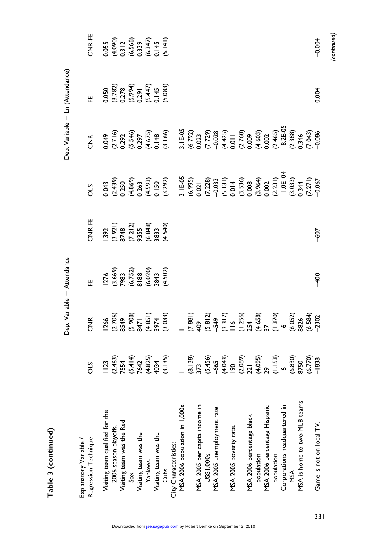|                                                                              |    |               | Dep. Variable = Attendance                                                           |                                                                  |                                                                                                                                                                                                                                |                                                                                                                                                                                                                                                                                      | Dep. Variable = Ln (Attendance)                                     |                                                                 |
|------------------------------------------------------------------------------|----|---------------|--------------------------------------------------------------------------------------|------------------------------------------------------------------|--------------------------------------------------------------------------------------------------------------------------------------------------------------------------------------------------------------------------------|--------------------------------------------------------------------------------------------------------------------------------------------------------------------------------------------------------------------------------------------------------------------------------------|---------------------------------------------------------------------|-----------------------------------------------------------------|
| Regression Technique<br>Explanatory Variable                                 | วี | $\frac{1}{2}$ | 。<br>出                                                                               | CNR-FE                                                           | STO                                                                                                                                                                                                                            | $\frac{R}{C}$                                                                                                                                                                                                                                                                        | .<br>또                                                              | CNR-FE                                                          |
| Visiting team qualified for the                                              |    |               |                                                                                      |                                                                  |                                                                                                                                                                                                                                |                                                                                                                                                                                                                                                                                      |                                                                     |                                                                 |
| 2006 season playoffs.                                                        |    |               |                                                                                      |                                                                  |                                                                                                                                                                                                                                |                                                                                                                                                                                                                                                                                      |                                                                     |                                                                 |
| Visiting team was the Red                                                    |    |               |                                                                                      |                                                                  |                                                                                                                                                                                                                                |                                                                                                                                                                                                                                                                                      |                                                                     |                                                                 |
| $rac{x}{s}$                                                                  |    |               | $1276$<br>$(3.669)$<br>$(9.752)$<br>$(6.752)$<br>$(6.020)$<br>$(4.502)$<br>$(4.502)$ | 1392<br>(3.921)<br>8748<br>(7.212)<br>9355<br>(4.540)<br>(4.540) |                                                                                                                                                                                                                                |                                                                                                                                                                                                                                                                                      | 0.050<br>(3.782)<br>0.278<br>(5.447)<br>(5.083)<br>0.145<br>(5.083) | 0.055<br>(4.090)<br>0.312<br>(6.568)<br>0.145<br>0.145<br>0.145 |
| Visiting team was the                                                        |    |               |                                                                                      |                                                                  |                                                                                                                                                                                                                                |                                                                                                                                                                                                                                                                                      |                                                                     |                                                                 |
| Yankees.                                                                     |    |               |                                                                                      |                                                                  |                                                                                                                                                                                                                                |                                                                                                                                                                                                                                                                                      |                                                                     |                                                                 |
| Visiting team was the                                                        |    |               |                                                                                      |                                                                  |                                                                                                                                                                                                                                |                                                                                                                                                                                                                                                                                      |                                                                     |                                                                 |
| Cubs.                                                                        |    |               |                                                                                      |                                                                  |                                                                                                                                                                                                                                |                                                                                                                                                                                                                                                                                      |                                                                     |                                                                 |
| City Characteristics:                                                        |    |               |                                                                                      |                                                                  |                                                                                                                                                                                                                                |                                                                                                                                                                                                                                                                                      |                                                                     |                                                                 |
| MSA 2006 population in 1,000s                                                |    |               |                                                                                      |                                                                  |                                                                                                                                                                                                                                |                                                                                                                                                                                                                                                                                      |                                                                     |                                                                 |
|                                                                              |    |               |                                                                                      |                                                                  |                                                                                                                                                                                                                                |                                                                                                                                                                                                                                                                                      |                                                                     |                                                                 |
| MSA 2005 per capita income in                                                |    |               |                                                                                      |                                                                  |                                                                                                                                                                                                                                |                                                                                                                                                                                                                                                                                      |                                                                     |                                                                 |
| US\$1,000s.                                                                  |    |               |                                                                                      |                                                                  |                                                                                                                                                                                                                                |                                                                                                                                                                                                                                                                                      |                                                                     |                                                                 |
| MSA 2005 unemployment rate.                                                  |    |               |                                                                                      |                                                                  |                                                                                                                                                                                                                                |                                                                                                                                                                                                                                                                                      |                                                                     |                                                                 |
|                                                                              |    |               |                                                                                      |                                                                  |                                                                                                                                                                                                                                |                                                                                                                                                                                                                                                                                      |                                                                     |                                                                 |
| MSA 2005 poverty rate.                                                       |    |               |                                                                                      |                                                                  |                                                                                                                                                                                                                                |                                                                                                                                                                                                                                                                                      |                                                                     |                                                                 |
|                                                                              |    |               |                                                                                      |                                                                  |                                                                                                                                                                                                                                |                                                                                                                                                                                                                                                                                      |                                                                     |                                                                 |
| MSA 2006 percentage black                                                    |    |               |                                                                                      |                                                                  |                                                                                                                                                                                                                                |                                                                                                                                                                                                                                                                                      |                                                                     |                                                                 |
| population.                                                                  |    |               |                                                                                      |                                                                  |                                                                                                                                                                                                                                |                                                                                                                                                                                                                                                                                      |                                                                     |                                                                 |
|                                                                              |    |               |                                                                                      |                                                                  |                                                                                                                                                                                                                                |                                                                                                                                                                                                                                                                                      |                                                                     |                                                                 |
| MSA 2006 percentage Hispanic<br>population.<br>Corporations headquartered in |    |               |                                                                                      |                                                                  |                                                                                                                                                                                                                                |                                                                                                                                                                                                                                                                                      |                                                                     |                                                                 |
|                                                                              |    |               |                                                                                      |                                                                  |                                                                                                                                                                                                                                |                                                                                                                                                                                                                                                                                      |                                                                     |                                                                 |
| MSA.                                                                         |    |               |                                                                                      |                                                                  |                                                                                                                                                                                                                                |                                                                                                                                                                                                                                                                                      |                                                                     |                                                                 |
| MSA is home to two MLB teams                                                 |    |               |                                                                                      |                                                                  |                                                                                                                                                                                                                                |                                                                                                                                                                                                                                                                                      |                                                                     |                                                                 |
|                                                                              |    |               |                                                                                      |                                                                  |                                                                                                                                                                                                                                |                                                                                                                                                                                                                                                                                      |                                                                     |                                                                 |
| Game is not on local TV.                                                     |    |               | $\frac{8}{1}$                                                                        | 607                                                              | $6.439$ $6.439$ $6.439$ $6.439$ $6.439$ $6.439$ $6.439$ $6.439$ $6.439$ $6.439$ $6.439$ $6.439$ $6.439$ $6.439$ $6.439$ $6.439$ $6.439$ $6.439$ $6.439$ $6.439$ $6.439$ $6.439$ $6.439$ $6.439$ $6.439$ $6.439$ $6.439$ $6.43$ | $0.35$<br>$0.71$<br>$0.54$<br>$0.54$<br>$0.54$<br>$0.54$<br>$0.54$<br>$0.54$<br>$0.57$<br>$0.57$<br>$0.57$<br>$0.57$<br>$0.57$<br>$0.57$<br>$0.57$<br>$0.57$<br>$0.57$<br>$0.57$<br>$0.57$<br>$0.57$<br>$0.57$<br>$0.57$<br>$0.57$<br>$0.57$<br>$0.57$<br>$0.57$<br>$0.57$<br>$0.57$ | 0.004                                                               | $-0.004$                                                        |
|                                                                              |    |               |                                                                                      |                                                                  |                                                                                                                                                                                                                                |                                                                                                                                                                                                                                                                                      |                                                                     | (continued)                                                     |

331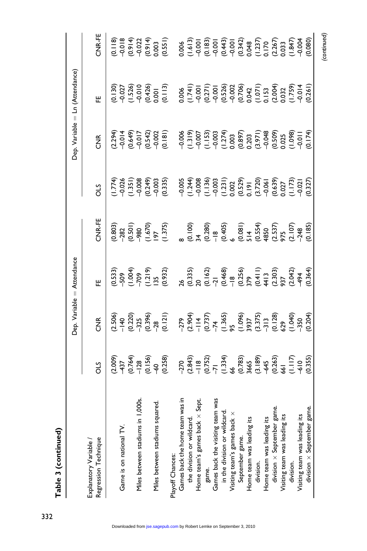|                                                                                                         |                                                                                                                                                                                                                               |               | Dep. Variable = Attendance |                                                                                                                                                                                                        |                                                                                                                                                                                                                             |                                                                                                                                                                                                                                | Dep. Variable = Ln (Attendance)                                                                                                                                             |                                                                                                                                                                                                                   |
|---------------------------------------------------------------------------------------------------------|-------------------------------------------------------------------------------------------------------------------------------------------------------------------------------------------------------------------------------|---------------|----------------------------|--------------------------------------------------------------------------------------------------------------------------------------------------------------------------------------------------------|-----------------------------------------------------------------------------------------------------------------------------------------------------------------------------------------------------------------------------|--------------------------------------------------------------------------------------------------------------------------------------------------------------------------------------------------------------------------------|-----------------------------------------------------------------------------------------------------------------------------------------------------------------------------|-------------------------------------------------------------------------------------------------------------------------------------------------------------------------------------------------------------------|
| Regression Technique<br>Explanatory Variable /                                                          | STO                                                                                                                                                                                                                           | $\frac{R}{C}$ | 판                          | CNR-FE                                                                                                                                                                                                 | STO                                                                                                                                                                                                                         | $\widetilde{\Xi}$                                                                                                                                                                                                              | .<br>또                                                                                                                                                                      | CNR-FE                                                                                                                                                                                                            |
|                                                                                                         |                                                                                                                                                                                                                               |               |                            |                                                                                                                                                                                                        |                                                                                                                                                                                                                             |                                                                                                                                                                                                                                |                                                                                                                                                                             |                                                                                                                                                                                                                   |
|                                                                                                         |                                                                                                                                                                                                                               |               |                            |                                                                                                                                                                                                        |                                                                                                                                                                                                                             |                                                                                                                                                                                                                                |                                                                                                                                                                             |                                                                                                                                                                                                                   |
| Game is on national TV.                                                                                 | $(1, 74, 74, 8)$ $(1, 74, 8)$ $(1, 1, 8)$ $(1, 1, 6)$ $(1, 1, 6)$ $(1, 1, 6)$ $(1, 1, 6)$ $(1, 1, 2)$ $(1, 1, 2)$ $(1, 1, 2)$ $(1, 1, 2)$ $(1, 1, 2)$ $(1, 1, 2)$ $(1, 1, 2)$ $(1, 1, 2)$ $(1, 1, 2)$ $(1, 1, 2)$ $(1, 1, 2)$ |               |                            | $(0.803)\n(0.50)\n(0.67)\n(1.37)\n(1.37)\n(1.37)\n(1.37)\n(1.37)\n(1.37)\n(1.37)\n(1.37)\n(1.37)\n(1.37)\n(1.37)\n(1.38)\n(1.39)\n(1.30)\n(1.31)\n(1.32)\n(1.33)\n(1.35)\n(1.36)\n(1.30)\n(1.31)\n(1.$ | $(1,7,4)$ $(1,7,6)$ $(1,3,5)$ $(0,4,6)$ $(0,3,5)$ $(0,4,6)$ $(0,3,5)$ $(0,3,5)$ $(0,3,5)$ $(0,3,5)$ $(0,3,5)$ $(0,3,5)$ $(0,3,5)$ $(0,3,5)$ $(0,3,5)$ $(0,3,5)$ $(0,3,5)$ $(0,3,5)$ $(0,3,5)$ $(0,3,5)$ $(0,3,5)$ $(0,3,5)$ | $(1,24)$ $(1,34)$ $(1,44)$ $(1,44)$ $(1,44)$ $(1,44)$ $(1,44)$ $(1,44)$ $(1,44)$ $(1,44)$ $(1,44)$ $(1,44)$ $(1,44)$ $(1,44)$ $(1,44)$ $(1,44)$ $(1,44)$ $(1,44)$ $(1,44)$ $(1,44)$ $(1,44)$ $(1,44)$ $(1,44)$ $(1,44)$ $(1,4$ | $(0.130)\n(0.426)\n(0.427)\n(0.438)\n(0.440)\n(0.450)\n(0.471)\n(0.471)\n(0.471)\n(0.471)\n(0.471)\n(0.471)\n(0.471)\n(0.471)\n(0.472)\n(0.473)\n(0.471)\n(0.471)\n(0.481)$ | $(0.187)$ $(0.994)$ $(0.994)$ $(0.994)$ $(0.994)$ $(0.994)$ $(0.994)$ $(0.994)$ $(0.994)$ $(0.994)$ $(0.994)$ $(0.994)$ $(0.994)$ $(0.994)$ $(0.994)$ $(0.994)$ $(0.994)$ $(0.994)$ $(0.994)$ $(0.994)$ $(0.994)$ |
| 000<br>Miles between stadiums in                                                                        |                                                                                                                                                                                                                               |               |                            |                                                                                                                                                                                                        |                                                                                                                                                                                                                             |                                                                                                                                                                                                                                |                                                                                                                                                                             |                                                                                                                                                                                                                   |
|                                                                                                         |                                                                                                                                                                                                                               |               |                            |                                                                                                                                                                                                        |                                                                                                                                                                                                                             |                                                                                                                                                                                                                                |                                                                                                                                                                             |                                                                                                                                                                                                                   |
| Miles between stadiums squared                                                                          |                                                                                                                                                                                                                               |               |                            |                                                                                                                                                                                                        |                                                                                                                                                                                                                             |                                                                                                                                                                                                                                |                                                                                                                                                                             |                                                                                                                                                                                                                   |
|                                                                                                         |                                                                                                                                                                                                                               |               |                            |                                                                                                                                                                                                        |                                                                                                                                                                                                                             |                                                                                                                                                                                                                                |                                                                                                                                                                             |                                                                                                                                                                                                                   |
| Play off Chances:                                                                                       |                                                                                                                                                                                                                               |               |                            |                                                                                                                                                                                                        |                                                                                                                                                                                                                             |                                                                                                                                                                                                                                |                                                                                                                                                                             |                                                                                                                                                                                                                   |
| Games back the home team was in                                                                         |                                                                                                                                                                                                                               |               |                            |                                                                                                                                                                                                        |                                                                                                                                                                                                                             |                                                                                                                                                                                                                                |                                                                                                                                                                             |                                                                                                                                                                                                                   |
| the division or wildcard.                                                                               |                                                                                                                                                                                                                               |               |                            |                                                                                                                                                                                                        |                                                                                                                                                                                                                             |                                                                                                                                                                                                                                |                                                                                                                                                                             |                                                                                                                                                                                                                   |
| န္တ<br>Home team's games back $\times$                                                                  |                                                                                                                                                                                                                               |               |                            |                                                                                                                                                                                                        |                                                                                                                                                                                                                             |                                                                                                                                                                                                                                |                                                                                                                                                                             |                                                                                                                                                                                                                   |
| game.                                                                                                   |                                                                                                                                                                                                                               |               |                            |                                                                                                                                                                                                        |                                                                                                                                                                                                                             |                                                                                                                                                                                                                                |                                                                                                                                                                             |                                                                                                                                                                                                                   |
|                                                                                                         |                                                                                                                                                                                                                               |               |                            |                                                                                                                                                                                                        |                                                                                                                                                                                                                             |                                                                                                                                                                                                                                |                                                                                                                                                                             |                                                                                                                                                                                                                   |
| Games back the visiting team was<br>in the division or wildcard.<br>Visiting team's games back $\times$ |                                                                                                                                                                                                                               |               |                            |                                                                                                                                                                                                        |                                                                                                                                                                                                                             |                                                                                                                                                                                                                                |                                                                                                                                                                             |                                                                                                                                                                                                                   |
|                                                                                                         |                                                                                                                                                                                                                               |               |                            |                                                                                                                                                                                                        |                                                                                                                                                                                                                             |                                                                                                                                                                                                                                |                                                                                                                                                                             |                                                                                                                                                                                                                   |
| September game.                                                                                         |                                                                                                                                                                                                                               |               |                            |                                                                                                                                                                                                        |                                                                                                                                                                                                                             |                                                                                                                                                                                                                                |                                                                                                                                                                             |                                                                                                                                                                                                                   |
| Home team was leading its                                                                               |                                                                                                                                                                                                                               |               |                            |                                                                                                                                                                                                        |                                                                                                                                                                                                                             |                                                                                                                                                                                                                                |                                                                                                                                                                             |                                                                                                                                                                                                                   |
| division.                                                                                               |                                                                                                                                                                                                                               |               |                            |                                                                                                                                                                                                        |                                                                                                                                                                                                                             |                                                                                                                                                                                                                                |                                                                                                                                                                             |                                                                                                                                                                                                                   |
| Home team was leading its                                                                               |                                                                                                                                                                                                                               |               |                            |                                                                                                                                                                                                        |                                                                                                                                                                                                                             |                                                                                                                                                                                                                                |                                                                                                                                                                             |                                                                                                                                                                                                                   |
| $division \times September$ game                                                                        |                                                                                                                                                                                                                               |               |                            |                                                                                                                                                                                                        |                                                                                                                                                                                                                             |                                                                                                                                                                                                                                |                                                                                                                                                                             |                                                                                                                                                                                                                   |
| Visiting team was leading its                                                                           |                                                                                                                                                                                                                               |               |                            |                                                                                                                                                                                                        |                                                                                                                                                                                                                             |                                                                                                                                                                                                                                |                                                                                                                                                                             |                                                                                                                                                                                                                   |
| division.                                                                                               |                                                                                                                                                                                                                               |               |                            |                                                                                                                                                                                                        |                                                                                                                                                                                                                             |                                                                                                                                                                                                                                |                                                                                                                                                                             |                                                                                                                                                                                                                   |
| Visiting team was leading its                                                                           |                                                                                                                                                                                                                               |               |                            |                                                                                                                                                                                                        |                                                                                                                                                                                                                             |                                                                                                                                                                                                                                |                                                                                                                                                                             |                                                                                                                                                                                                                   |
| division × September game.                                                                              |                                                                                                                                                                                                                               |               |                            |                                                                                                                                                                                                        |                                                                                                                                                                                                                             |                                                                                                                                                                                                                                |                                                                                                                                                                             |                                                                                                                                                                                                                   |
|                                                                                                         |                                                                                                                                                                                                                               |               |                            |                                                                                                                                                                                                        |                                                                                                                                                                                                                             |                                                                                                                                                                                                                                |                                                                                                                                                                             | continued                                                                                                                                                                                                         |

Table 3 (continued) Table 3 (continued)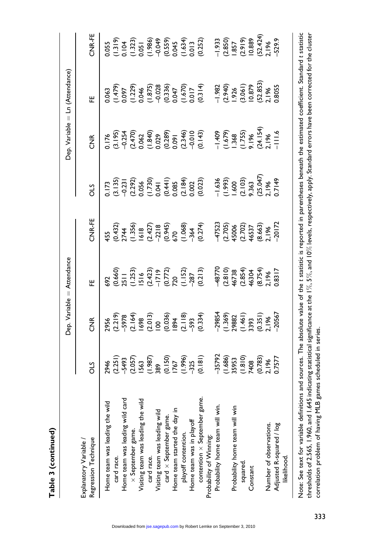| ı |
|---|
| I |
|   |
|   |
|   |
|   |

|                                                                 |                                                                                                                                                                                                      |                   | Dep. Variable = Attendance                                                                                                                                                                      |                                                                                                                                                                                                                                |                                                                                                                                                                                                                                                                                                     |                                                                                                                                                                                                                                                                              | Dep. Variable = Ln (Attendance)                                                                                                                                                                          |                                                                                                                                                                                                          |
|-----------------------------------------------------------------|------------------------------------------------------------------------------------------------------------------------------------------------------------------------------------------------------|-------------------|-------------------------------------------------------------------------------------------------------------------------------------------------------------------------------------------------|--------------------------------------------------------------------------------------------------------------------------------------------------------------------------------------------------------------------------------|-----------------------------------------------------------------------------------------------------------------------------------------------------------------------------------------------------------------------------------------------------------------------------------------------------|------------------------------------------------------------------------------------------------------------------------------------------------------------------------------------------------------------------------------------------------------------------------------|----------------------------------------------------------------------------------------------------------------------------------------------------------------------------------------------------------|----------------------------------------------------------------------------------------------------------------------------------------------------------------------------------------------------------|
| Regression Technique<br>Explanatory Variable /                  | STC                                                                                                                                                                                                  | $\widetilde{\Xi}$ | .<br>또                                                                                                                                                                                          | CNR-FE                                                                                                                                                                                                                         | STC                                                                                                                                                                                                                                                                                                 | $\widetilde{z}$                                                                                                                                                                                                                                                              | œ                                                                                                                                                                                                        | CNR-FE                                                                                                                                                                                                   |
| nik<br>Ni<br>Home team was leading the                          |                                                                                                                                                                                                      |                   |                                                                                                                                                                                                 | $45.5$ $65.432$ $65.432$ $65.432$ $65.432$ $65.432$ $65.432$ $65.432$ $65.432$ $65.432$ $65.432$ $65.432$ $65.432$ $65.432$ $65.432$ $65.432$ $65.432$ $65.432$ $65.432$ $65.432$ $65.432$ $65.432$ $65.432$ $65.432$ $65.432$ |                                                                                                                                                                                                                                                                                                     | $\begin{array}{ccccccccc}\n6.176 & 0.234 & 0.240 & 0.240 & 0.240 & 0.240 & 0.240 & 0.240 & 0.240 & 0.240 & 0.240 & 0.240 & 0.240 & 0.240 & 0.240 & 0.240 & 0.240 & 0.240 & 0.240 & 0.240 & 0.240 & 0.240 & 0.240 & 0.240 & 0.240 & 0.240 & 0.240 & 0.240 & 0.240 & 0.240 & $ |                                                                                                                                                                                                          |                                                                                                                                                                                                          |
| card race.                                                      |                                                                                                                                                                                                      |                   |                                                                                                                                                                                                 |                                                                                                                                                                                                                                |                                                                                                                                                                                                                                                                                                     |                                                                                                                                                                                                                                                                              |                                                                                                                                                                                                          |                                                                                                                                                                                                          |
| 군<br>경<br>Home team was leading wild                            |                                                                                                                                                                                                      |                   |                                                                                                                                                                                                 |                                                                                                                                                                                                                                |                                                                                                                                                                                                                                                                                                     |                                                                                                                                                                                                                                                                              |                                                                                                                                                                                                          |                                                                                                                                                                                                          |
| $\times$ September game.                                        |                                                                                                                                                                                                      |                   |                                                                                                                                                                                                 |                                                                                                                                                                                                                                |                                                                                                                                                                                                                                                                                                     |                                                                                                                                                                                                                                                                              |                                                                                                                                                                                                          |                                                                                                                                                                                                          |
| mik<br>N<br>Visiting team was leading the                       |                                                                                                                                                                                                      |                   |                                                                                                                                                                                                 |                                                                                                                                                                                                                                |                                                                                                                                                                                                                                                                                                     |                                                                                                                                                                                                                                                                              |                                                                                                                                                                                                          |                                                                                                                                                                                                          |
| card race.                                                      | $2946$ $(2.251)$ $(2.657)$ $(2.657)$ $(3.658)$ $(0.159)$ $(0.159)$ $(0.159)$ $(0.159)$ $(0.159)$ $(0.159)$ $(0.159)$ $(0.159)$ $(0.159)$ $(0.159)$ $(0.159)$ $(0.159)$ $(0.159)$ $(0.157)$ $(0.157)$ |                   | $82\n0.660\n0.643\n0.647\n0.673\n0.687\n0.69\n0.69\n0.69\n0.69\n0.69\n0.69\n0.69\n0.69\n0.69\n0.69\n0.69\n0.69\n0.69\n0.69\n0.69\n0.69\n0.69\n0.69\n0.69\n0.69\n0.69\n0.69\n0.69\n0.69\n0.69\n$ |                                                                                                                                                                                                                                | $\begin{array}{l} 0.173 \\ 0.135 \\ 0.231 \\ 0.056 \\ 0.04 \\ 0.004 \\ 0.000 \\ 0.000 \\ 0.000 \\ 0.000 \\ 0.000 \\ 0.000 \\ 0.000 \\ 0.000 \\ 0.000 \\ 0.000 \\ 0.000 \\ 0.000 \\ 0.000 \\ 0.000 \\ 0.000 \\ 0.000 \\ 0.000 \\ 0.000 \\ 0.000 \\ 0.000 \\ 0.000 \\ 0.196 \\ 0.196 \\ 0.196 \\ 0.1$ |                                                                                                                                                                                                                                                                              | $(1.479)\n(1.479)\n(1.479)\n(1.479)\n(1.479)\n(1.479)\n(1.479)\n(1.479)\n(1.479)\n(1.479)\n(1.479)\n(1.479)\n(1.479)\n(1.479)\n(1.479)\n(1.479)\n(1.479)\n(1.479)\n(1.479)\n(1.479)\n(1.479)\n(1.479)\n$ | $(1.319)\n(1.321)\n(1.323)\n(1.321)\n(1.323)\n(1.324)\n(1.325)\n(1.326)\n(1.327)\n(1.328)\n(1.329)\n(1.330)\n(1.331)\n(1.330)\n(1.331)\n(1.332)\n(1.333)\n(1.334)\n(1.335)\n(1.336)\n(1.337)\n(1.338)\n$ |
| Visiting team was leading wild<br>card $\times$ September game. |                                                                                                                                                                                                      |                   |                                                                                                                                                                                                 |                                                                                                                                                                                                                                |                                                                                                                                                                                                                                                                                                     |                                                                                                                                                                                                                                                                              |                                                                                                                                                                                                          |                                                                                                                                                                                                          |
| card $\times$ September game.                                   |                                                                                                                                                                                                      |                   |                                                                                                                                                                                                 |                                                                                                                                                                                                                                |                                                                                                                                                                                                                                                                                                     |                                                                                                                                                                                                                                                                              |                                                                                                                                                                                                          |                                                                                                                                                                                                          |
| Home team started the day                                       |                                                                                                                                                                                                      |                   |                                                                                                                                                                                                 |                                                                                                                                                                                                                                |                                                                                                                                                                                                                                                                                                     |                                                                                                                                                                                                                                                                              |                                                                                                                                                                                                          |                                                                                                                                                                                                          |
| $\equiv$<br>playoff contention.                                 |                                                                                                                                                                                                      |                   |                                                                                                                                                                                                 |                                                                                                                                                                                                                                |                                                                                                                                                                                                                                                                                                     |                                                                                                                                                                                                                                                                              |                                                                                                                                                                                                          |                                                                                                                                                                                                          |
| Home team was in playoff                                        |                                                                                                                                                                                                      |                   |                                                                                                                                                                                                 |                                                                                                                                                                                                                                |                                                                                                                                                                                                                                                                                                     |                                                                                                                                                                                                                                                                              |                                                                                                                                                                                                          |                                                                                                                                                                                                          |
| game.<br>S<br>contention $\times$ September                     |                                                                                                                                                                                                      |                   |                                                                                                                                                                                                 |                                                                                                                                                                                                                                |                                                                                                                                                                                                                                                                                                     |                                                                                                                                                                                                                                                                              |                                                                                                                                                                                                          |                                                                                                                                                                                                          |
| Probability of Winning:                                         |                                                                                                                                                                                                      |                   |                                                                                                                                                                                                 |                                                                                                                                                                                                                                |                                                                                                                                                                                                                                                                                                     |                                                                                                                                                                                                                                                                              |                                                                                                                                                                                                          |                                                                                                                                                                                                          |
| Probability home team will win.                                 |                                                                                                                                                                                                      |                   |                                                                                                                                                                                                 |                                                                                                                                                                                                                                |                                                                                                                                                                                                                                                                                                     |                                                                                                                                                                                                                                                                              |                                                                                                                                                                                                          |                                                                                                                                                                                                          |
|                                                                 |                                                                                                                                                                                                      |                   |                                                                                                                                                                                                 |                                                                                                                                                                                                                                |                                                                                                                                                                                                                                                                                                     |                                                                                                                                                                                                                                                                              |                                                                                                                                                                                                          |                                                                                                                                                                                                          |
| Probability home team will win                                  |                                                                                                                                                                                                      |                   |                                                                                                                                                                                                 |                                                                                                                                                                                                                                |                                                                                                                                                                                                                                                                                                     |                                                                                                                                                                                                                                                                              |                                                                                                                                                                                                          |                                                                                                                                                                                                          |
| squared.                                                        |                                                                                                                                                                                                      |                   |                                                                                                                                                                                                 |                                                                                                                                                                                                                                |                                                                                                                                                                                                                                                                                                     |                                                                                                                                                                                                                                                                              |                                                                                                                                                                                                          |                                                                                                                                                                                                          |
| Constant                                                        |                                                                                                                                                                                                      |                   |                                                                                                                                                                                                 |                                                                                                                                                                                                                                |                                                                                                                                                                                                                                                                                                     |                                                                                                                                                                                                                                                                              |                                                                                                                                                                                                          |                                                                                                                                                                                                          |
|                                                                 |                                                                                                                                                                                                      |                   |                                                                                                                                                                                                 |                                                                                                                                                                                                                                |                                                                                                                                                                                                                                                                                                     |                                                                                                                                                                                                                                                                              |                                                                                                                                                                                                          |                                                                                                                                                                                                          |
| Number of observations.                                         |                                                                                                                                                                                                      |                   |                                                                                                                                                                                                 |                                                                                                                                                                                                                                |                                                                                                                                                                                                                                                                                                     |                                                                                                                                                                                                                                                                              |                                                                                                                                                                                                          |                                                                                                                                                                                                          |
| Adjusted R-squared / log                                        |                                                                                                                                                                                                      |                   |                                                                                                                                                                                                 |                                                                                                                                                                                                                                |                                                                                                                                                                                                                                                                                                     |                                                                                                                                                                                                                                                                              |                                                                                                                                                                                                          |                                                                                                                                                                                                          |
| likelihood.                                                     |                                                                                                                                                                                                      |                   |                                                                                                                                                                                                 |                                                                                                                                                                                                                                |                                                                                                                                                                                                                                                                                                     |                                                                                                                                                                                                                                                                              |                                                                                                                                                                                                          |                                                                                                                                                                                                          |
|                                                                 |                                                                                                                                                                                                      |                   |                                                                                                                                                                                                 |                                                                                                                                                                                                                                |                                                                                                                                                                                                                                                                                                     |                                                                                                                                                                                                                                                                              |                                                                                                                                                                                                          |                                                                                                                                                                                                          |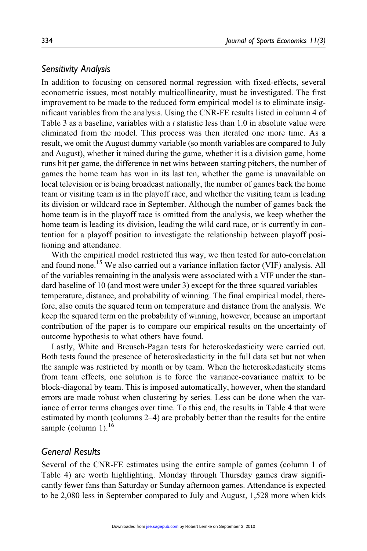# Sensitivity Analysis

In addition to focusing on censored normal regression with fixed-effects, several econometric issues, most notably multicollinearity, must be investigated. The first improvement to be made to the reduced form empirical model is to eliminate insignificant variables from the analysis. Using the CNR-FE results listed in column 4 of Table 3 as a baseline, variables with a  $t$  statistic less than 1.0 in absolute value were eliminated from the model. This process was then iterated one more time. As a result, we omit the August dummy variable (so month variables are compared to July and August), whether it rained during the game, whether it is a division game, home runs hit per game, the difference in net wins between starting pitchers, the number of games the home team has won in its last ten, whether the game is unavailable on local television or is being broadcast nationally, the number of games back the home team or visiting team is in the playoff race, and whether the visiting team is leading its division or wildcard race in September. Although the number of games back the home team is in the playoff race is omitted from the analysis, we keep whether the home team is leading its division, leading the wild card race, or is currently in contention for a playoff position to investigate the relationship between playoff positioning and attendance.

With the empirical model restricted this way, we then tested for auto-correlation and found none.<sup>15</sup> We also carried out a variance inflation factor (VIF) analysis. All of the variables remaining in the analysis were associated with a VIF under the standard baseline of 10 (and most were under 3) except for the three squared variables temperature, distance, and probability of winning. The final empirical model, therefore, also omits the squared term on temperature and distance from the analysis. We keep the squared term on the probability of winning, however, because an important contribution of the paper is to compare our empirical results on the uncertainty of outcome hypothesis to what others have found.

Lastly, White and Breusch-Pagan tests for heteroskedasticity were carried out. Both tests found the presence of heteroskedasticity in the full data set but not when the sample was restricted by month or by team. When the heteroskedasticity stems from team effects, one solution is to force the variance-covariance matrix to be block-diagonal by team. This is imposed automatically, however, when the standard errors are made robust when clustering by series. Less can be done when the variance of error terms changes over time. To this end, the results in Table 4 that were estimated by month (columns 2–4) are probably better than the results for the entire sample (column 1). $^{16}$ 

# General Results

Several of the CNR-FE estimates using the entire sample of games (column 1 of Table 4) are worth highlighting. Monday through Thursday games draw significantly fewer fans than Saturday or Sunday afternoon games. Attendance is expected to be 2,080 less in September compared to July and August, 1,528 more when kids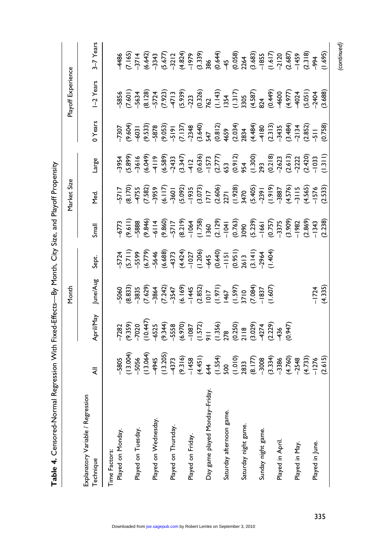| Table 4. Censored-Normal Regression With Fixed-Effects—By Month, City Size, and Playoff Propensity |         |           |                    |                                                                                                                                                                                                                                |                                                                                                                                                                                                                                                                                                                                                                                                                                                                                  |             |       |         |                    |           |
|----------------------------------------------------------------------------------------------------|---------|-----------|--------------------|--------------------------------------------------------------------------------------------------------------------------------------------------------------------------------------------------------------------------------|----------------------------------------------------------------------------------------------------------------------------------------------------------------------------------------------------------------------------------------------------------------------------------------------------------------------------------------------------------------------------------------------------------------------------------------------------------------------------------|-------------|-------|---------|--------------------|-----------|
|                                                                                                    |         |           | Month              |                                                                                                                                                                                                                                |                                                                                                                                                                                                                                                                                                                                                                                                                                                                                  | Market Size |       |         | Playoff Experience |           |
| Explanatory Variable / Regression<br>Technique                                                     | ₹       | April/May | June/Aug           | Sept.                                                                                                                                                                                                                          | Small                                                                                                                                                                                                                                                                                                                                                                                                                                                                            | ν<br>Σ      | Large | 0 Years | I-2 Years          | 3-7 Years |
| Time Factors:                                                                                      |         |           |                    |                                                                                                                                                                                                                                |                                                                                                                                                                                                                                                                                                                                                                                                                                                                                  |             |       |         |                    |           |
| Played on Monday.                                                                                  |         |           |                    |                                                                                                                                                                                                                                |                                                                                                                                                                                                                                                                                                                                                                                                                                                                                  |             |       |         |                    |           |
|                                                                                                    |         |           |                    | $77.79$ $7.79$ $8.89$ $8.79$ $7.79$ $8.89$ $7.79$ $7.79$ $8.89$ $7.79$ $7.79$ $7.79$ $7.79$ $7.79$ $7.79$ $7.79$ $7.79$ $7.79$ $7.79$ $7.79$ $7.79$ $7.79$ $7.79$ $7.79$ $7.79$ $7.79$ $7.79$ $7.79$ $7.79$ $7.79$ $7.79$ $7.$ | $\begin{array}{l} n = 0\\ \hline\n\Gamma = 0\\ \hline\n\Gamma = 0\\ \hline\n\Gamma = 0\\ \hline\n\Gamma = 0\\ \hline\n\Gamma = 0\\ \hline\n\Gamma = 0\\ \hline\n\Gamma = 0\\ \hline\n\Gamma = 0\\ \hline\n\Gamma = 0\\ \hline\n\Gamma = 0\\ \hline\n\Gamma = 0\\ \hline\n\Gamma = 0\\ \hline\n\Gamma = 0\\ \hline\n\Gamma = 0\\ \hline\n\Gamma = 0\\ \hline\n\Gamma = 0\\ \hline\n\Gamma = 0\\ \hline\n\Gamma = 0\\ \hline\n\Gamma = 0\\ \hline\n\Gamma = 0\\ \hline\n\Gamma = $ |             |       |         |                    |           |
| Played on Tuesday                                                                                  |         |           |                    |                                                                                                                                                                                                                                |                                                                                                                                                                                                                                                                                                                                                                                                                                                                                  |             |       |         |                    |           |
|                                                                                                    |         |           |                    |                                                                                                                                                                                                                                |                                                                                                                                                                                                                                                                                                                                                                                                                                                                                  |             |       |         |                    |           |
| Played on Wednesday.                                                                               |         |           |                    |                                                                                                                                                                                                                                |                                                                                                                                                                                                                                                                                                                                                                                                                                                                                  |             |       |         |                    |           |
|                                                                                                    |         |           |                    |                                                                                                                                                                                                                                |                                                                                                                                                                                                                                                                                                                                                                                                                                                                                  |             |       |         |                    |           |
| Played on Thursday                                                                                 |         |           |                    |                                                                                                                                                                                                                                |                                                                                                                                                                                                                                                                                                                                                                                                                                                                                  |             |       |         |                    |           |
|                                                                                                    |         |           |                    |                                                                                                                                                                                                                                |                                                                                                                                                                                                                                                                                                                                                                                                                                                                                  |             |       |         |                    |           |
| Played on Friday                                                                                   |         |           |                    |                                                                                                                                                                                                                                |                                                                                                                                                                                                                                                                                                                                                                                                                                                                                  |             |       |         |                    |           |
|                                                                                                    |         |           |                    |                                                                                                                                                                                                                                |                                                                                                                                                                                                                                                                                                                                                                                                                                                                                  |             |       |         |                    |           |
| Day game played Monday-Friday                                                                      |         |           |                    |                                                                                                                                                                                                                                |                                                                                                                                                                                                                                                                                                                                                                                                                                                                                  |             |       |         |                    |           |
|                                                                                                    |         |           |                    |                                                                                                                                                                                                                                |                                                                                                                                                                                                                                                                                                                                                                                                                                                                                  |             |       |         |                    |           |
| Saturday afternoon game.                                                                           |         |           |                    |                                                                                                                                                                                                                                |                                                                                                                                                                                                                                                                                                                                                                                                                                                                                  |             |       |         |                    |           |
|                                                                                                    |         |           |                    |                                                                                                                                                                                                                                |                                                                                                                                                                                                                                                                                                                                                                                                                                                                                  |             |       |         |                    |           |
| Saturday night game.                                                                               |         |           |                    |                                                                                                                                                                                                                                |                                                                                                                                                                                                                                                                                                                                                                                                                                                                                  |             |       |         |                    |           |
|                                                                                                    |         |           |                    |                                                                                                                                                                                                                                |                                                                                                                                                                                                                                                                                                                                                                                                                                                                                  |             |       |         |                    |           |
| Sunday night game.                                                                                 |         |           |                    |                                                                                                                                                                                                                                |                                                                                                                                                                                                                                                                                                                                                                                                                                                                                  |             |       |         |                    |           |
|                                                                                                    |         |           |                    |                                                                                                                                                                                                                                |                                                                                                                                                                                                                                                                                                                                                                                                                                                                                  |             |       |         |                    |           |
| Played in April                                                                                    |         |           |                    |                                                                                                                                                                                                                                |                                                                                                                                                                                                                                                                                                                                                                                                                                                                                  |             |       |         |                    |           |
|                                                                                                    |         |           |                    |                                                                                                                                                                                                                                |                                                                                                                                                                                                                                                                                                                                                                                                                                                                                  |             |       |         |                    |           |
| Played in May.                                                                                     |         |           |                    |                                                                                                                                                                                                                                |                                                                                                                                                                                                                                                                                                                                                                                                                                                                                  |             |       |         |                    |           |
|                                                                                                    |         |           |                    |                                                                                                                                                                                                                                |                                                                                                                                                                                                                                                                                                                                                                                                                                                                                  |             |       |         |                    |           |
| Played in June.                                                                                    |         |           |                    |                                                                                                                                                                                                                                |                                                                                                                                                                                                                                                                                                                                                                                                                                                                                  |             |       |         |                    |           |
|                                                                                                    | (2.615) |           | $-1724$<br>(4.335) |                                                                                                                                                                                                                                |                                                                                                                                                                                                                                                                                                                                                                                                                                                                                  | (2.533)     |       |         | (3.688)            | (1.695)   |

(continued)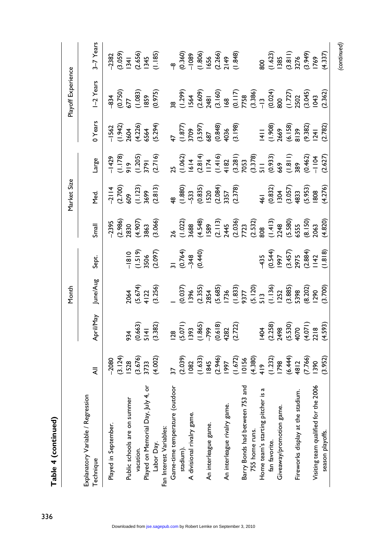| $-2 - 1$ |  |
|----------|--|
| ř        |  |

| Month |  |
|-------|--|
|       |  |
|       |  |
|       |  |
|       |  |
|       |  |

|                                                           |                                                        |                                                                                         | Month                                                                                                                  |                                                                                                                        |                                                                                                                                                                                                                                                                              | Market Size                                                       |                                                                                                                                                                                                                                |                                                                 | Playoff Experience                                   |                                                                                                                                                           |
|-----------------------------------------------------------|--------------------------------------------------------|-----------------------------------------------------------------------------------------|------------------------------------------------------------------------------------------------------------------------|------------------------------------------------------------------------------------------------------------------------|------------------------------------------------------------------------------------------------------------------------------------------------------------------------------------------------------------------------------------------------------------------------------|-------------------------------------------------------------------|--------------------------------------------------------------------------------------------------------------------------------------------------------------------------------------------------------------------------------|-----------------------------------------------------------------|------------------------------------------------------|-----------------------------------------------------------------------------------------------------------------------------------------------------------|
| egression<br>Explanatory Variable / R<br><b>Technique</b> |                                                        | April/May                                                                               | une/Aug                                                                                                                | Sept.                                                                                                                  | $\overline{\text{small}}$                                                                                                                                                                                                                                                    | yed.                                                              | Large                                                                                                                                                                                                                          | 0 Years                                                         | $-2$ Years                                           | $3-7$ Years                                                                                                                                               |
| Played in September.                                      |                                                        |                                                                                         |                                                                                                                        |                                                                                                                        |                                                                                                                                                                                                                                                                              |                                                                   |                                                                                                                                                                                                                                |                                                                 |                                                      |                                                                                                                                                           |
|                                                           | -2080<br>(3.124)<br>IS28<br>(3.676)<br>S733<br>(4.002) |                                                                                         |                                                                                                                        |                                                                                                                        | $-2395$<br>(2.986)<br>2830<br>(4.907)<br>3863<br>3863                                                                                                                                                                                                                        | $-2114$<br>(2.700)<br>609<br>(1.123)<br>3699<br>3699              | –1429<br>(1.178)<br>919<br>(1.205)<br>3791<br>(2.716)                                                                                                                                                                          | -1562<br>(1.942)<br>2604<br>(5.294)<br>6564                     | –834<br>(0.750)<br>677<br>(1.083)<br>1859<br>(0.975) | $-2382$<br>$(3.059)$<br>$(3.45)$<br>$(2.656)$<br>$(1.18)$<br>$(1.18)$<br>$(0.36)$<br>$(0.36)$<br>$(0.36)$<br>$(0.36)$<br>$(0.36)$<br>$(1.49)$<br>$(1.49)$ |
| summer<br>Public schools are on                           |                                                        |                                                                                         |                                                                                                                        |                                                                                                                        |                                                                                                                                                                                                                                                                              |                                                                   |                                                                                                                                                                                                                                |                                                                 |                                                      |                                                                                                                                                           |
| vacation.                                                 |                                                        |                                                                                         |                                                                                                                        |                                                                                                                        |                                                                                                                                                                                                                                                                              |                                                                   |                                                                                                                                                                                                                                |                                                                 |                                                      |                                                                                                                                                           |
| ay, July 4, or<br>Played on Memorial D                    |                                                        |                                                                                         |                                                                                                                        |                                                                                                                        |                                                                                                                                                                                                                                                                              |                                                                   |                                                                                                                                                                                                                                |                                                                 |                                                      |                                                                                                                                                           |
| Labor Day.                                                |                                                        | 934<br>(0.663)<br>5 14 1<br>(3.382)                                                     | 2064<br>(5.674)<br>4122<br>(3.256)                                                                                     | $-1810$<br>(1.519)<br>3506<br>31 (0.764)<br>31 (0.440)                                                                 |                                                                                                                                                                                                                                                                              |                                                                   |                                                                                                                                                                                                                                |                                                                 |                                                      |                                                                                                                                                           |
| Fan Interest Variables:                                   |                                                        |                                                                                         |                                                                                                                        |                                                                                                                        |                                                                                                                                                                                                                                                                              |                                                                   |                                                                                                                                                                                                                                |                                                                 |                                                      |                                                                                                                                                           |
| Game-time temperature (outdoor                            |                                                        |                                                                                         |                                                                                                                        |                                                                                                                        |                                                                                                                                                                                                                                                                              |                                                                   |                                                                                                                                                                                                                                |                                                                 |                                                      |                                                                                                                                                           |
| stadium).                                                 |                                                        | $(3.071)$<br>$(5.071)$<br>$(1.865)$<br>$(1.865)$<br>$(0.618)$<br>$(0.618)$<br>$(2.722)$ |                                                                                                                        |                                                                                                                        |                                                                                                                                                                                                                                                                              | 48<br>(1.880)<br>-533<br>(0.835)<br>(2.878)<br>(2.357)<br>(2.378) |                                                                                                                                                                                                                                | 47<br>(1.877)<br>3709<br>687<br>687<br>4036<br>4036             |                                                      |                                                                                                                                                           |
| e<br>E<br>A divisional rivalry gar                        |                                                        |                                                                                         |                                                                                                                        |                                                                                                                        |                                                                                                                                                                                                                                                                              |                                                                   |                                                                                                                                                                                                                                |                                                                 |                                                      |                                                                                                                                                           |
|                                                           |                                                        |                                                                                         |                                                                                                                        |                                                                                                                        |                                                                                                                                                                                                                                                                              |                                                                   |                                                                                                                                                                                                                                |                                                                 |                                                      |                                                                                                                                                           |
| An interleague game.                                      |                                                        |                                                                                         |                                                                                                                        |                                                                                                                        |                                                                                                                                                                                                                                                                              |                                                                   |                                                                                                                                                                                                                                |                                                                 |                                                      |                                                                                                                                                           |
|                                                           |                                                        |                                                                                         |                                                                                                                        |                                                                                                                        |                                                                                                                                                                                                                                                                              |                                                                   |                                                                                                                                                                                                                                |                                                                 |                                                      |                                                                                                                                                           |
| game.<br>An interleague rivalry                           |                                                        |                                                                                         |                                                                                                                        |                                                                                                                        |                                                                                                                                                                                                                                                                              |                                                                   |                                                                                                                                                                                                                                |                                                                 |                                                      |                                                                                                                                                           |
|                                                           |                                                        |                                                                                         |                                                                                                                        |                                                                                                                        |                                                                                                                                                                                                                                                                              |                                                                   |                                                                                                                                                                                                                                |                                                                 |                                                      |                                                                                                                                                           |
| een 753 ano<br>Barry Bonds had betw                       |                                                        |                                                                                         |                                                                                                                        |                                                                                                                        |                                                                                                                                                                                                                                                                              |                                                                   |                                                                                                                                                                                                                                |                                                                 |                                                      |                                                                                                                                                           |
| 755 home runs.                                            |                                                        |                                                                                         |                                                                                                                        |                                                                                                                        |                                                                                                                                                                                                                                                                              |                                                                   |                                                                                                                                                                                                                                |                                                                 |                                                      |                                                                                                                                                           |
| pitcher is<br>Home team's starting                        |                                                        |                                                                                         |                                                                                                                        |                                                                                                                        |                                                                                                                                                                                                                                                                              |                                                                   |                                                                                                                                                                                                                                |                                                                 |                                                      |                                                                                                                                                           |
| fan favorite.                                             |                                                        |                                                                                         |                                                                                                                        |                                                                                                                        |                                                                                                                                                                                                                                                                              |                                                                   |                                                                                                                                                                                                                                |                                                                 |                                                      |                                                                                                                                                           |
| game.<br>Giveaway/promotion                               |                                                        |                                                                                         |                                                                                                                        |                                                                                                                        |                                                                                                                                                                                                                                                                              |                                                                   |                                                                                                                                                                                                                                |                                                                 |                                                      |                                                                                                                                                           |
|                                                           |                                                        |                                                                                         |                                                                                                                        |                                                                                                                        |                                                                                                                                                                                                                                                                              |                                                                   |                                                                                                                                                                                                                                |                                                                 |                                                      |                                                                                                                                                           |
| e stadium<br>Fireworks display at t                       |                                                        |                                                                                         |                                                                                                                        |                                                                                                                        |                                                                                                                                                                                                                                                                              |                                                                   |                                                                                                                                                                                                                                |                                                                 |                                                      |                                                                                                                                                           |
|                                                           |                                                        | $(1404$<br>$(2.258)$<br>$(2.498$<br>$(5.530)$<br>$(4.071)$<br>$(4.593)$                 |                                                                                                                        |                                                                                                                        |                                                                                                                                                                                                                                                                              |                                                                   |                                                                                                                                                                                                                                |                                                                 |                                                      |                                                                                                                                                           |
| for the 2006<br>Visiting team qualified                   |                                                        |                                                                                         |                                                                                                                        |                                                                                                                        |                                                                                                                                                                                                                                                                              |                                                                   |                                                                                                                                                                                                                                |                                                                 |                                                      |                                                                                                                                                           |
| season playoffs.                                          |                                                        |                                                                                         | $(0.037)$ 1996<br>1996<br>1996 1998<br>1998 1998 1998<br>1990<br>1990 1998 1998<br>1990 1990<br>1990 1990<br>1990 1990 | $\begin{array}{c} 435 \\ (0.544) \\ (997 \\ (3.457) \\ (3.457) \\ (2.975 \\ (2.884) \\ (1.818) \\ (1.818) \end{array}$ | $\begin{array}{ccccccccc}\n & 0.020 & 0.000 & 0.000 & 0.000 & 0.000 & 0.000 & 0.000 & 0.000 & 0.000 & 0.000 & 0.000 & 0.000 & 0.000 & 0.000 & 0.000 & 0.000 & 0.000 & 0.000 & 0.000 & 0.000 & 0.000 & 0.000 & 0.000 & 0.000 & 0.000 & 0.000 & 0.000 & 0.000 & 0.000 & 0.000$ | 461<br>(0.832)<br>(3.057)<br>(3.953)<br>(4.276)<br>(4.276)        | $15$ $(1.062)$ $(1.414)$ $(1.416)$ $(1.418)$ $(1.418)$ $(1.418)$ $(1.418)$ $(1.418)$ $(1.418)$ $(1.418)$ $(1.418)$ $(1.418)$ $(1.418)$ $(1.418)$ $(1.418)$ $(1.418)$ $(1.418)$ $(1.418)$ $(1.418)$ $(1.418)$ $(1.418)$ $(1.41$ | 1411<br>(1.908)<br>2669<br>(6.158)<br>(1287)<br>1241<br>(2.782) |                                                      | 800<br>(1.623)<br>1385<br>13276<br>1769<br>1769<br>1769                                                                                                   |
|                                                           |                                                        |                                                                                         |                                                                                                                        |                                                                                                                        |                                                                                                                                                                                                                                                                              |                                                                   |                                                                                                                                                                                                                                |                                                                 |                                                      |                                                                                                                                                           |

336

(continued)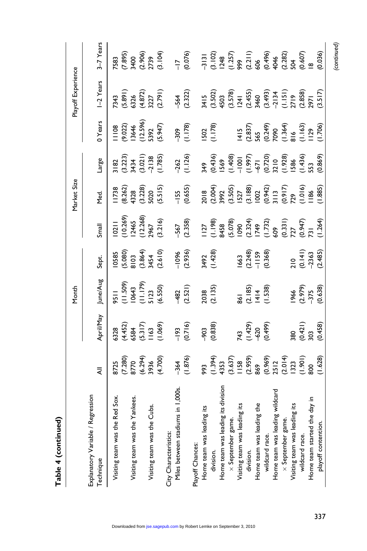Table 4 (continued) Table 4 (continued)

|                                                |                                                                                                                                                                                                                   |                                                                   | Month                                                 |                                             |       | Market Size                                       |                                                                                                                                                                                                                                     |                                                                             | Playoff Experience                                                                                                                                 |                                                                                                                                                                                                                                |
|------------------------------------------------|-------------------------------------------------------------------------------------------------------------------------------------------------------------------------------------------------------------------|-------------------------------------------------------------------|-------------------------------------------------------|---------------------------------------------|-------|---------------------------------------------------|-------------------------------------------------------------------------------------------------------------------------------------------------------------------------------------------------------------------------------------|-----------------------------------------------------------------------------|----------------------------------------------------------------------------------------------------------------------------------------------------|--------------------------------------------------------------------------------------------------------------------------------------------------------------------------------------------------------------------------------|
| Explanatory Variable / Regression<br>Technique |                                                                                                                                                                                                                   | April/May                                                         | June/Aug                                              | Sept.                                       | Small | Med.                                              | Large                                                                                                                                                                                                                               | 0 Years                                                                     | -2 Years                                                                                                                                           | 3-7 Years                                                                                                                                                                                                                      |
| Red Sox.<br>Visiting team was the              |                                                                                                                                                                                                                   |                                                                   |                                                       |                                             |       |                                                   |                                                                                                                                                                                                                                     |                                                                             |                                                                                                                                                    |                                                                                                                                                                                                                                |
|                                                |                                                                                                                                                                                                                   |                                                                   |                                                       |                                             |       |                                                   |                                                                                                                                                                                                                                     |                                                                             |                                                                                                                                                    |                                                                                                                                                                                                                                |
| Visiting team was the Yankees                  |                                                                                                                                                                                                                   |                                                                   |                                                       |                                             |       |                                                   |                                                                                                                                                                                                                                     |                                                                             |                                                                                                                                                    |                                                                                                                                                                                                                                |
|                                                |                                                                                                                                                                                                                   |                                                                   |                                                       |                                             |       |                                                   |                                                                                                                                                                                                                                     |                                                                             |                                                                                                                                                    |                                                                                                                                                                                                                                |
| Cubs.<br>Visiting team was the                 |                                                                                                                                                                                                                   |                                                                   |                                                       |                                             |       |                                                   |                                                                                                                                                                                                                                     |                                                                             |                                                                                                                                                    |                                                                                                                                                                                                                                |
|                                                | 8725<br>(7.280)<br>8770<br>(6.294)<br>(4.700)                                                                                                                                                                     | 6328<br>(4.452)<br>6584<br>(1.63<br>(1.069)                       | 9511<br>(11.509)<br>10643<br>(11.179)<br>5123<br>5123 | 10585<br>(5.080)<br>8103<br>(3.864)<br>3454 |       | 738<br>(8.262)<br>4328<br>5020<br>5020<br>55.5 5) | 3   82<br>(3.223)<br>3434<br>(3.021)<br>(1.785)<br>(1.785)                                                                                                                                                                          | 108<br>(9.022)<br>  13646<br>  12.596)<br>  13.947)                         | 7343<br>(5.891)<br>6326<br>(4.872)<br>3227<br>(2.791)                                                                                              | $7583, 6000, 6000, 6000, 6000, 6000, 6000, 6000, 6000, 6000, 6000, 6000, 6000, 6000, 6000, 6000, 6000, 6000, 6000, 6000, 6000, 6000, 6000, 6000, 6000, 6000, 6000, 6000, 6000, 6000, 6000, 6000, 6000, 6000, 6000, 6000, 6000$ |
| City Characteristics:                          |                                                                                                                                                                                                                   |                                                                   |                                                       |                                             |       |                                                   |                                                                                                                                                                                                                                     |                                                                             |                                                                                                                                                    |                                                                                                                                                                                                                                |
| Miles between stadiums in 1,000s               |                                                                                                                                                                                                                   |                                                                   |                                                       |                                             |       |                                                   |                                                                                                                                                                                                                                     |                                                                             |                                                                                                                                                    |                                                                                                                                                                                                                                |
|                                                | $-364$<br>(1.876)                                                                                                                                                                                                 |                                                                   | $-482$<br>(2.521)                                     |                                             |       | $-155$<br>(0.655)                                 | $-262$<br>(1.126)                                                                                                                                                                                                                   | $-309$<br>(1.178)                                                           |                                                                                                                                                    |                                                                                                                                                                                                                                |
| Playoff Chances:                               |                                                                                                                                                                                                                   |                                                                   |                                                       |                                             |       |                                                   |                                                                                                                                                                                                                                     |                                                                             |                                                                                                                                                    |                                                                                                                                                                                                                                |
| Home team was leading its                      |                                                                                                                                                                                                                   |                                                                   |                                                       |                                             |       |                                                   |                                                                                                                                                                                                                                     |                                                                             |                                                                                                                                                    |                                                                                                                                                                                                                                |
| division.                                      | $993$<br>$(-394)$<br>$(-363)$<br>$(-363)$<br>$(-363)$<br>$(-363)$<br>$(-363)$<br>$(-363)$<br>$(-363)$<br>$(-363)$<br>$(-363)$<br>$(-363)$<br>$(-363)$<br>$(-363)$<br>$(-363)$<br>$(-363)$<br>$(-363)$<br>$(-363)$ | $\begin{array}{r} -193 \\ (0.716) \\ -903 \\ (0.838) \end{array}$ | 2038<br>(2.135)                                       | $-1096$<br>(2.936)<br>3492<br>3492          |       |                                                   | 349<br>(0.436)<br>  1569 (1.400   1.400   1.569   1.569   1.569   1.569   1.569   1.5728   1.5728   1.5736   1.575<br>  1.575   1.575   1.575   1.575   1.575   1.575   1.575   1.575   1.575   1.575   1.575   1.575   1.575   1.5 | $1502$<br>$(1.178)$                                                         |                                                                                                                                                    |                                                                                                                                                                                                                                |
| ng its division<br>Home team was leadir        |                                                                                                                                                                                                                   |                                                                   |                                                       |                                             |       |                                                   |                                                                                                                                                                                                                                     |                                                                             |                                                                                                                                                    |                                                                                                                                                                                                                                |
| $\times$ September game                        |                                                                                                                                                                                                                   |                                                                   |                                                       |                                             |       |                                                   |                                                                                                                                                                                                                                     |                                                                             |                                                                                                                                                    |                                                                                                                                                                                                                                |
| Visiting team was leading its                  |                                                                                                                                                                                                                   |                                                                   |                                                       |                                             |       |                                                   |                                                                                                                                                                                                                                     |                                                                             |                                                                                                                                                    |                                                                                                                                                                                                                                |
| division.                                      |                                                                                                                                                                                                                   | 743<br>(1.429)<br>(0.499)<br>(0.499)                              | 861<br>(2.185)<br>(414<br>(1.538)                     | 1663<br>(2.248)<br>- 1159<br>(0.368)        |       |                                                   |                                                                                                                                                                                                                                     | 1415<br>(2.837)<br>565<br>0.249)<br>0.364)<br>81.1039<br>(1.106)<br>(1.706) |                                                                                                                                                    |                                                                                                                                                                                                                                |
| Home team was leading the                      |                                                                                                                                                                                                                   |                                                                   |                                                       |                                             |       |                                                   |                                                                                                                                                                                                                                     |                                                                             |                                                                                                                                                    |                                                                                                                                                                                                                                |
| wildcard race.                                 |                                                                                                                                                                                                                   |                                                                   |                                                       |                                             |       |                                                   |                                                                                                                                                                                                                                     |                                                                             |                                                                                                                                                    |                                                                                                                                                                                                                                |
| ng wildcard<br>Home team was leadir            |                                                                                                                                                                                                                   |                                                                   |                                                       |                                             |       |                                                   |                                                                                                                                                                                                                                     |                                                                             |                                                                                                                                                    |                                                                                                                                                                                                                                |
| $\times$ September game                        |                                                                                                                                                                                                                   |                                                                   |                                                       |                                             |       |                                                   |                                                                                                                                                                                                                                     |                                                                             |                                                                                                                                                    |                                                                                                                                                                                                                                |
| Visiting team was leading its                  |                                                                                                                                                                                                                   |                                                                   |                                                       |                                             |       |                                                   |                                                                                                                                                                                                                                     |                                                                             |                                                                                                                                                    |                                                                                                                                                                                                                                |
| wildcard race.                                 |                                                                                                                                                                                                                   | 380<br>(0.421)<br>303                                             | $1966$<br>(2.979)<br>-375<br>(0.638)                  | 210<br>(0.141)<br>-2363<br>(2.485)          |       |                                                   |                                                                                                                                                                                                                                     |                                                                             |                                                                                                                                                    |                                                                                                                                                                                                                                |
| e day in<br>Home team started th               |                                                                                                                                                                                                                   |                                                                   |                                                       |                                             |       |                                                   |                                                                                                                                                                                                                                     |                                                                             |                                                                                                                                                    |                                                                                                                                                                                                                                |
| playoff contention.                            | (1.628)                                                                                                                                                                                                           | (0.458)                                                           |                                                       |                                             |       |                                                   | (0.869)                                                                                                                                                                                                                             |                                                                             | $-564$<br>$(2.322)$<br>$3415$<br>$(3.502)$<br>$(3.503)$<br>$(3.578)$<br>$(2.455)$<br>$(2.455)$<br>$(2.455)$<br>$(3.577)$<br>$(3.517)$<br>$(3.517)$ | (0.036)                                                                                                                                                                                                                        |
|                                                |                                                                                                                                                                                                                   |                                                                   |                                                       |                                             |       |                                                   |                                                                                                                                                                                                                                     |                                                                             |                                                                                                                                                    | (continued)                                                                                                                                                                                                                    |

Downloaded from [jse.sagepub.com](http://jse.sagepub.com/) by Robert Lemke on September 3, 2010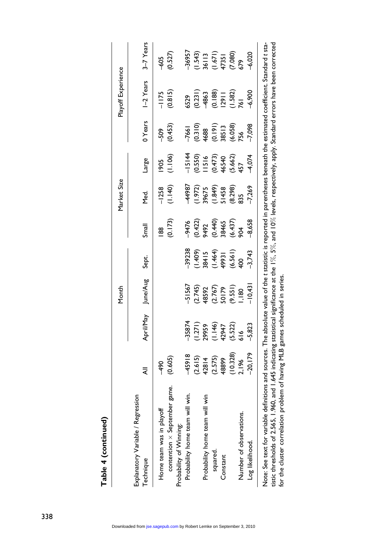| í |
|---|
|   |
|   |
|   |
|   |
|   |
|   |
|   |
|   |
|   |
|   |
| Ξ |
|   |
| í |
|   |
|   |
|   |
| ī |
|   |
| I |
|   |
|   |
|   |
|   |
|   |

|                                                |                                              |                                                               | Month                                                       |                                                                   |                                                | Market Size                                                          |                                                  |                                                                                      | Playoff Experience                                                     |                                           |
|------------------------------------------------|----------------------------------------------|---------------------------------------------------------------|-------------------------------------------------------------|-------------------------------------------------------------------|------------------------------------------------|----------------------------------------------------------------------|--------------------------------------------------|--------------------------------------------------------------------------------------|------------------------------------------------------------------------|-------------------------------------------|
| Explanatory Variable / Regression<br>Technique | ₹                                            | April/May                                                     | June/Aug                                                    | Sept.                                                             | Small                                          | yed.                                                                 | Large                                            | 0 Years                                                                              | I-2 Years                                                              | 3-7 Years                                 |
| Home team was in playoff                       | -490                                         |                                                               |                                                             |                                                                   | 88                                             | $-1258$                                                              | 805                                              | <b>SOS</b>                                                                           | $-1175$                                                                | \$05                                      |
| contention $\times$ September game.            | (0.605)                                      |                                                               |                                                             |                                                                   | (0.173)                                        | (1.140)                                                              | (1.106)                                          | (0.453)                                                                              | (0.815)                                                                | (0.527)                                   |
| Probability of Winning:                        |                                              |                                                               |                                                             |                                                                   |                                                |                                                                      |                                                  |                                                                                      |                                                                        |                                           |
| Probability home team will win.                | 45918                                        | 35874                                                         | -51567                                                      | $-39238$                                                          |                                                | <b>44987</b>                                                         | $-15144$                                         | $-7661$                                                                              |                                                                        | -36957                                    |
|                                                | $(2.615)$<br>$42814$<br>$(2.575)$<br>$48899$ |                                                               |                                                             |                                                                   |                                                |                                                                      |                                                  |                                                                                      | 5529<br>0.231)<br><del>48</del> 63                                     |                                           |
| Probability home team will win                 |                                              |                                                               |                                                             |                                                                   |                                                |                                                                      |                                                  |                                                                                      |                                                                        |                                           |
| squared.                                       |                                              |                                                               |                                                             |                                                                   |                                                |                                                                      |                                                  |                                                                                      |                                                                        |                                           |
| Constant                                       |                                              |                                                               |                                                             |                                                                   |                                                |                                                                      |                                                  |                                                                                      |                                                                        |                                           |
|                                                | $(10.328)$<br>2, 196                         | $(1.271)$<br>29959<br>$(1.146)$<br>42947<br>42522)<br>(5.522) | $(2.745)$<br>$(2.767)$<br>$(3.767)$<br>$(9.551)$<br>$(180)$ | $(1.409)$<br>38415<br>$(1.464)$<br>$(1.464)$<br>40561)<br>(6.561) | -9476<br>(0.422)<br>9492<br>(0.437)<br>86.437) | $(1.972)$<br>$39675$<br>$(1.849)$<br>$51458$<br>$51458$<br>$(8.298)$ | 0.550)<br>IISI6<br>(0.473)<br>4540<br>457<br>457 | $\begin{array}{c} (0.310) \ (0.191) \ (0.191) \ 38513 \ 38513 \ (6.058) \end{array}$ | $\begin{array}{c} (0.188) \\ (2.911) \\ (1.582) \\ (6.11) \end{array}$ | (1.543)<br>36113<br>17351<br>17351<br>579 |
| Number of observations.                        |                                              |                                                               |                                                             |                                                                   |                                                |                                                                      |                                                  |                                                                                      |                                                                        |                                           |
| Log likelihood.                                | $-20, 179$                                   | $-5,823$                                                      | $-10,43$                                                    | $-3,743$                                                          | $-8,658$                                       | 7,269                                                                | $-4,074$                                         | $-7,098$                                                                             | $-6,900$                                                               | $-6,020$                                  |

tistic thresholds of 2.565, 1.960, and 1.645 indicating statistical significance at the 1%, 5%, and 10% levels, respectively, apply. Standard errors have been corrected tistic thresholds of 2.565, 1.960, and 1.645 indicating statistical significance at the 1%, 5%, and 10% levels, respectively, apply. Standard errors have been corrected for the cluster correlation problem of having MLB games scheduled in series. for the cluster correlation problem of having MLB games scheduled in series.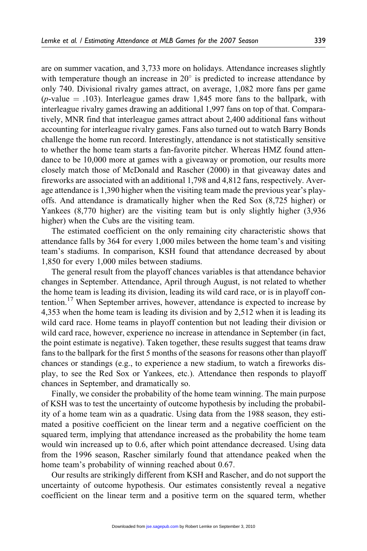are on summer vacation, and 3,733 more on holidays. Attendance increases slightly with temperature though an increase in  $20^{\circ}$  is predicted to increase attendance by only 740. Divisional rivalry games attract, on average, 1,082 more fans per game (*p*-value  $=$  .103). Interleague games draw 1,845 more fans to the ballpark, with interleague rivalry games drawing an additional 1,997 fans on top of that. Comparatively, MNR find that interleague games attract about 2,400 additional fans without accounting for interleague rivalry games. Fans also turned out to watch Barry Bonds challenge the home run record. Interestingly, attendance is not statistically sensitive to whether the home team starts a fan-favorite pitcher. Whereas HMZ found attendance to be 10,000 more at games with a giveaway or promotion, our results more closely match those of McDonald and Rascher (2000) in that giveaway dates and fireworks are associated with an additional 1,798 and 4,812 fans, respectively. Average attendance is 1,390 higher when the visiting team made the previous year's playoffs. And attendance is dramatically higher when the Red Sox (8,725 higher) or Yankees (8,770 higher) are the visiting team but is only slightly higher (3,936 higher) when the Cubs are the visiting team.

The estimated coefficient on the only remaining city characteristic shows that attendance falls by 364 for every 1,000 miles between the home team's and visiting team's stadiums. In comparison, KSH found that attendance decreased by about 1,850 for every 1,000 miles between stadiums.

The general result from the playoff chances variables is that attendance behavior changes in September. Attendance, April through August, is not related to whether the home team is leading its division, leading its wild card race, or is in playoff contention.<sup>17</sup> When September arrives, however, attendance is expected to increase by 4,353 when the home team is leading its division and by 2,512 when it is leading its wild card race. Home teams in playoff contention but not leading their division or wild card race, however, experience no increase in attendance in September (in fact, the point estimate is negative). Taken together, these results suggest that teams draw fans to the ballpark for the first 5 months of the seasons for reasons other than playoff chances or standings (e.g., to experience a new stadium, to watch a fireworks display, to see the Red Sox or Yankees, etc.). Attendance then responds to playoff chances in September, and dramatically so.

Finally, we consider the probability of the home team winning. The main purpose of KSH was to test the uncertainty of outcome hypothesis by including the probability of a home team win as a quadratic. Using data from the 1988 season, they estimated a positive coefficient on the linear term and a negative coefficient on the squared term, implying that attendance increased as the probability the home team would win increased up to 0.6, after which point attendance decreased. Using data from the 1996 season, Rascher similarly found that attendance peaked when the home team's probability of winning reached about 0.67.

Our results are strikingly different from KSH and Rascher, and do not support the uncertainty of outcome hypothesis. Our estimates consistently reveal a negative coefficient on the linear term and a positive term on the squared term, whether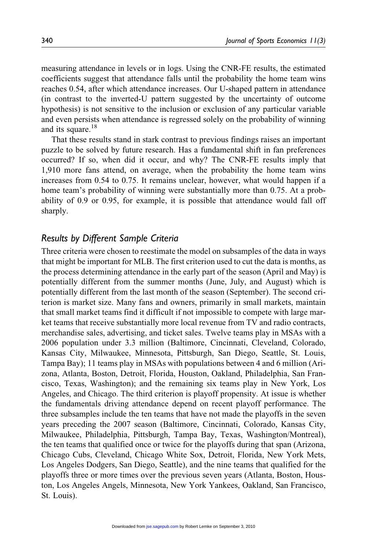measuring attendance in levels or in logs. Using the CNR-FE results, the estimated coefficients suggest that attendance falls until the probability the home team wins reaches 0.54, after which attendance increases. Our U-shaped pattern in attendance (in contrast to the inverted-U pattern suggested by the uncertainty of outcome hypothesis) is not sensitive to the inclusion or exclusion of any particular variable and even persists when attendance is regressed solely on the probability of winning and its square.<sup>18</sup>

That these results stand in stark contrast to previous findings raises an important puzzle to be solved by future research. Has a fundamental shift in fan preferences occurred? If so, when did it occur, and why? The CNR-FE results imply that 1,910 more fans attend, on average, when the probability the home team wins increases from 0.54 to 0.75. It remains unclear, however, what would happen if a home team's probability of winning were substantially more than 0.75. At a probability of 0.9 or 0.95, for example, it is possible that attendance would fall off sharply.

#### Results by Different Sample Criteria

Three criteria were chosen to reestimate the model on subsamples of the data in ways that might be important for MLB. The first criterion used to cut the data is months, as the process determining attendance in the early part of the season (April and May) is potentially different from the summer months (June, July, and August) which is potentially different from the last month of the season (September). The second criterion is market size. Many fans and owners, primarily in small markets, maintain that small market teams find it difficult if not impossible to compete with large market teams that receive substantially more local revenue from TV and radio contracts, merchandise sales, advertising, and ticket sales. Twelve teams play in MSAs with a 2006 population under 3.3 million (Baltimore, Cincinnati, Cleveland, Colorado, Kansas City, Milwaukee, Minnesota, Pittsburgh, San Diego, Seattle, St. Louis, Tampa Bay); 11 teams play in MSAs with populations between 4 and 6 million (Arizona, Atlanta, Boston, Detroit, Florida, Houston, Oakland, Philadelphia, San Francisco, Texas, Washington); and the remaining six teams play in New York, Los Angeles, and Chicago. The third criterion is playoff propensity. At issue is whether the fundamentals driving attendance depend on recent playoff performance. The three subsamples include the ten teams that have not made the playoffs in the seven years preceding the 2007 season (Baltimore, Cincinnati, Colorado, Kansas City, Milwaukee, Philadelphia, Pittsburgh, Tampa Bay, Texas, Washington/Montreal), the ten teams that qualified once or twice for the playoffs during that span (Arizona, Chicago Cubs, Cleveland, Chicago White Sox, Detroit, Florida, New York Mets, Los Angeles Dodgers, San Diego, Seattle), and the nine teams that qualified for the playoffs three or more times over the previous seven years (Atlanta, Boston, Houston, Los Angeles Angels, Minnesota, New York Yankees, Oakland, San Francisco, St. Louis).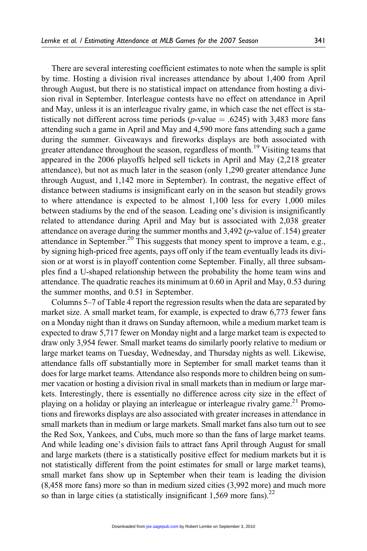There are several interesting coefficient estimates to note when the sample is split by time. Hosting a division rival increases attendance by about 1,400 from April through August, but there is no statistical impact on attendance from hosting a division rival in September. Interleague contests have no effect on attendance in April and May, unless it is an interleague rivalry game, in which case the net effect is statistically not different across time periods (*p*-value  $= .6245$ ) with 3,483 more fans attending such a game in April and May and 4,590 more fans attending such a game during the summer. Giveaways and fireworks displays are both associated with greater attendance throughout the season, regardless of month.<sup>19</sup> Visiting teams that appeared in the 2006 playoffs helped sell tickets in April and May (2,218 greater attendance), but not as much later in the season (only 1,290 greater attendance June through August, and 1,142 more in September). In contrast, the negative effect of distance between stadiums is insignificant early on in the season but steadily grows to where attendance is expected to be almost 1,100 less for every 1,000 miles between stadiums by the end of the season. Leading one's division is insignificantly related to attendance during April and May but is associated with 2,038 greater attendance on average during the summer months and 3,492 (p-value of .154) greater attendance in September.<sup>20</sup> This suggests that money spent to improve a team, e.g., by signing high-priced free agents, pays off only if the team eventually leads its division or at worst is in playoff contention come September. Finally, all three subsamples find a U-shaped relationship between the probability the home team wins and attendance. The quadratic reaches its minimum at 0.60 in April and May, 0.53 during the summer months, and 0.51 in September.

Columns 5–7 of Table 4 report the regression results when the data are separated by market size. A small market team, for example, is expected to draw 6,773 fewer fans on a Monday night than it draws on Sunday afternoon, while a medium market team is expected to draw 5,717 fewer on Monday night and a large market team is expected to draw only 3,954 fewer. Small market teams do similarly poorly relative to medium or large market teams on Tuesday, Wednesday, and Thursday nights as well. Likewise, attendance falls off substantially more in September for small market teams than it does for large market teams. Attendance also responds more to children being on summer vacation or hosting a division rival in small markets than in medium or large markets. Interestingly, there is essentially no difference across city size in the effect of playing on a holiday or playing an interleague or interleague rivalry game.<sup>21</sup> Promotions and fireworks displays are also associated with greater increases in attendance in small markets than in medium or large markets. Small market fans also turn out to see the Red Sox, Yankees, and Cubs, much more so than the fans of large market teams. And while leading one's division fails to attract fans April through August for small and large markets (there is a statistically positive effect for medium markets but it is not statistically different from the point estimates for small or large market teams), small market fans show up in September when their team is leading the division (8,458 more fans) more so than in medium sized cities (3,992 more) and much more so than in large cities (a statistically insignificant  $1,569$  more fans).<sup>22</sup>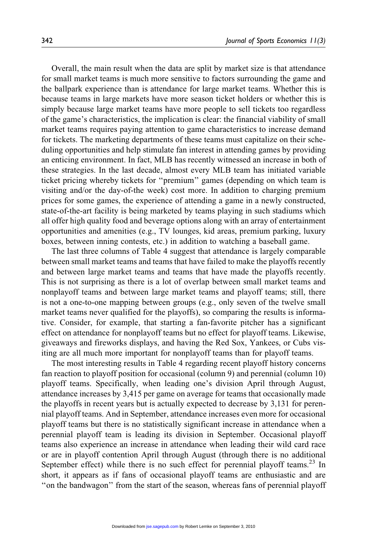Overall, the main result when the data are split by market size is that attendance for small market teams is much more sensitive to factors surrounding the game and the ballpark experience than is attendance for large market teams. Whether this is because teams in large markets have more season ticket holders or whether this is simply because large market teams have more people to sell tickets too regardless of the game's characteristics, the implication is clear: the financial viability of small market teams requires paying attention to game characteristics to increase demand for tickets. The marketing departments of these teams must capitalize on their scheduling opportunities and help stimulate fan interest in attending games by providing an enticing environment. In fact, MLB has recently witnessed an increase in both of these strategies. In the last decade, almost every MLB team has initiated variable ticket pricing whereby tickets for ''premium'' games (depending on which team is visiting and/or the day-of-the week) cost more. In addition to charging premium prices for some games, the experience of attending a game in a newly constructed, state-of-the-art facility is being marketed by teams playing in such stadiums which all offer high quality food and beverage options along with an array of entertainment opportunities and amenities (e.g., TV lounges, kid areas, premium parking, luxury boxes, between inning contests, etc.) in addition to watching a baseball game.

The last three columns of Table 4 suggest that attendance is largely comparable between small market teams and teams that have failed to make the playoffs recently and between large market teams and teams that have made the playoffs recently. This is not surprising as there is a lot of overlap between small market teams and nonplayoff teams and between large market teams and playoff teams; still, there is not a one-to-one mapping between groups (e.g., only seven of the twelve small market teams never qualified for the playoffs), so comparing the results is informative. Consider, for example, that starting a fan-favorite pitcher has a significant effect on attendance for nonplayoff teams but no effect for playoff teams. Likewise, giveaways and fireworks displays, and having the Red Sox, Yankees, or Cubs visiting are all much more important for nonplayoff teams than for playoff teams.

The most interesting results in Table 4 regarding recent playoff history concerns fan reaction to playoff position for occasional (column 9) and perennial (column 10) playoff teams. Specifically, when leading one's division April through August, attendance increases by 3,415 per game on average for teams that occasionally made the playoffs in recent years but is actually expected to decrease by 3,131 for perennial playoff teams. And in September, attendance increases even more for occasional playoff teams but there is no statistically significant increase in attendance when a perennial playoff team is leading its division in September. Occasional playoff teams also experience an increase in attendance when leading their wild card race or are in playoff contention April through August (through there is no additional September effect) while there is no such effect for perennial playoff teams.<sup>23</sup> In short, it appears as if fans of occasional playoff teams are enthusiastic and are ''on the bandwagon'' from the start of the season, whereas fans of perennial playoff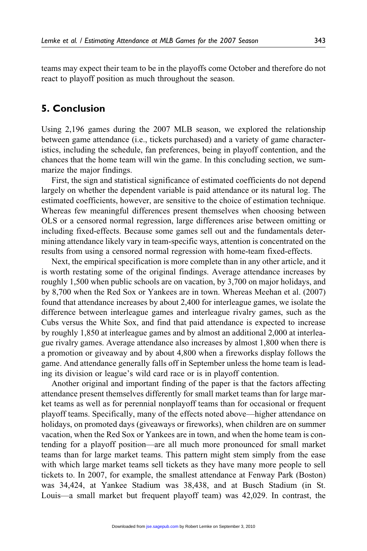teams may expect their team to be in the playoffs come October and therefore do not react to playoff position as much throughout the season.

# 5. Conclusion

Using 2,196 games during the 2007 MLB season, we explored the relationship between game attendance (i.e., tickets purchased) and a variety of game characteristics, including the schedule, fan preferences, being in playoff contention, and the chances that the home team will win the game. In this concluding section, we summarize the major findings.

First, the sign and statistical significance of estimated coefficients do not depend largely on whether the dependent variable is paid attendance or its natural log. The estimated coefficients, however, are sensitive to the choice of estimation technique. Whereas few meaningful differences present themselves when choosing between OLS or a censored normal regression, large differences arise between omitting or including fixed-effects. Because some games sell out and the fundamentals determining attendance likely vary in team-specific ways, attention is concentrated on the results from using a censored normal regression with home-team fixed-effects.

Next, the empirical specification is more complete than in any other article, and it is worth restating some of the original findings. Average attendance increases by roughly 1,500 when public schools are on vacation, by 3,700 on major holidays, and by 8,700 when the Red Sox or Yankees are in town. Whereas Meehan et al. (2007) found that attendance increases by about 2,400 for interleague games, we isolate the difference between interleague games and interleague rivalry games, such as the Cubs versus the White Sox, and find that paid attendance is expected to increase by roughly 1,850 at interleague games and by almost an additional 2,000 at interleague rivalry games. Average attendance also increases by almost 1,800 when there is a promotion or giveaway and by about 4,800 when a fireworks display follows the game. And attendance generally falls off in September unless the home team is leading its division or league's wild card race or is in playoff contention.

Another original and important finding of the paper is that the factors affecting attendance present themselves differently for small market teams than for large market teams as well as for perennial nonplayoff teams than for occasional or frequent playoff teams. Specifically, many of the effects noted above—higher attendance on holidays, on promoted days (giveaways or fireworks), when children are on summer vacation, when the Red Sox or Yankees are in town, and when the home team is contending for a playoff position—are all much more pronounced for small market teams than for large market teams. This pattern might stem simply from the ease with which large market teams sell tickets as they have many more people to sell tickets to. In 2007, for example, the smallest attendance at Fenway Park (Boston) was 34,424, at Yankee Stadium was 38,438, and at Busch Stadium (in St. Louis—a small market but frequent playoff team) was 42,029. In contrast, the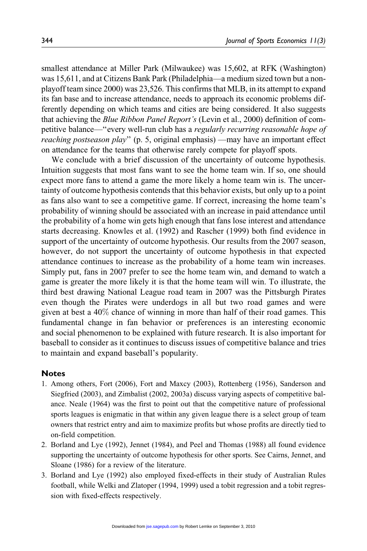smallest attendance at Miller Park (Milwaukee) was 15,602, at RFK (Washington) was 15,611, and at Citizens Bank Park (Philadelphia—a medium sized town but a nonplayoff team since 2000) was 23,526. This confirms that MLB, in its attempt to expand its fan base and to increase attendance, needs to approach its economic problems differently depending on which teams and cities are being considered. It also suggests that achieving the Blue Ribbon Panel Report's (Levin et al., 2000) definition of competitive balance—''every well-run club has a regularly recurring reasonable hope of reaching postseason play" (p. 5, original emphasis) —may have an important effect on attendance for the teams that otherwise rarely compete for playoff spots.

We conclude with a brief discussion of the uncertainty of outcome hypothesis. Intuition suggests that most fans want to see the home team win. If so, one should expect more fans to attend a game the more likely a home team win is. The uncertainty of outcome hypothesis contends that this behavior exists, but only up to a point as fans also want to see a competitive game. If correct, increasing the home team's probability of winning should be associated with an increase in paid attendance until the probability of a home win gets high enough that fans lose interest and attendance starts decreasing. Knowles et al. (1992) and Rascher (1999) both find evidence in support of the uncertainty of outcome hypothesis. Our results from the 2007 season, however, do not support the uncertainty of outcome hypothesis in that expected attendance continues to increase as the probability of a home team win increases. Simply put, fans in 2007 prefer to see the home team win, and demand to watch a game is greater the more likely it is that the home team will win. To illustrate, the third best drawing National League road team in 2007 was the Pittsburgh Pirates even though the Pirates were underdogs in all but two road games and were given at best a 40% chance of winning in more than half of their road games. This fundamental change in fan behavior or preferences is an interesting economic and social phenomenon to be explained with future research. It is also important for baseball to consider as it continues to discuss issues of competitive balance and tries to maintain and expand baseball's popularity.

#### **Notes**

- 1. Among others, Fort (2006), Fort and Maxcy (2003), Rottenberg (1956), Sanderson and Siegfried (2003), and Zimbalist (2002, 2003a) discuss varying aspects of competitive balance. Neale (1964) was the first to point out that the competitive nature of professional sports leagues is enigmatic in that within any given league there is a select group of team owners that restrict entry and aim to maximize profits but whose profits are directly tied to on-field competition.
- 2. Borland and Lye (1992), Jennet (1984), and Peel and Thomas (1988) all found evidence supporting the uncertainty of outcome hypothesis for other sports. See Cairns, Jennet, and Sloane (1986) for a review of the literature.
- 3. Borland and Lye (1992) also employed fixed-effects in their study of Australian Rules football, while Welki and Zlatoper (1994, 1999) used a tobit regression and a tobit regression with fixed-effects respectively.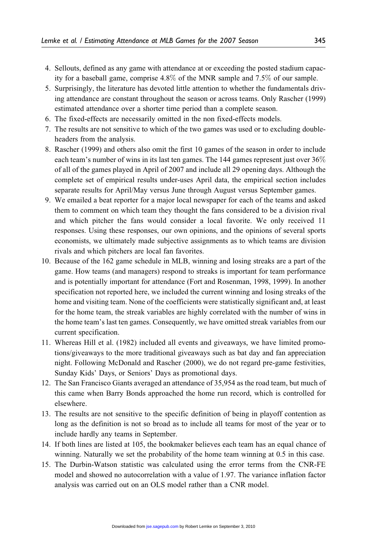- 4. Sellouts, defined as any game with attendance at or exceeding the posted stadium capacity for a baseball game, comprise 4.8% of the MNR sample and 7.5% of our sample.
- 5. Surprisingly, the literature has devoted little attention to whether the fundamentals driving attendance are constant throughout the season or across teams. Only Rascher (1999) estimated attendance over a shorter time period than a complete season.
- 6. The fixed-effects are necessarily omitted in the non fixed-effects models.
- 7. The results are not sensitive to which of the two games was used or to excluding doubleheaders from the analysis.
- 8. Rascher (1999) and others also omit the first 10 games of the season in order to include each team's number of wins in its last ten games. The 144 games represent just over 36% of all of the games played in April of 2007 and include all 29 opening days. Although the complete set of empirical results under-uses April data, the empirical section includes separate results for April/May versus June through August versus September games.
- 9. We emailed a beat reporter for a major local newspaper for each of the teams and asked them to comment on which team they thought the fans considered to be a division rival and which pitcher the fans would consider a local favorite. We only received 11 responses. Using these responses, our own opinions, and the opinions of several sports economists, we ultimately made subjective assignments as to which teams are division rivals and which pitchers are local fan favorites.
- 10. Because of the 162 game schedule in MLB, winning and losing streaks are a part of the game. How teams (and managers) respond to streaks is important for team performance and is potentially important for attendance (Fort and Rosenman, 1998, 1999). In another specification not reported here, we included the current winning and losing streaks of the home and visiting team. None of the coefficients were statistically significant and, at least for the home team, the streak variables are highly correlated with the number of wins in the home team's last ten games. Consequently, we have omitted streak variables from our current specification.
- 11. Whereas Hill et al. (1982) included all events and giveaways, we have limited promotions/giveaways to the more traditional giveaways such as bat day and fan appreciation night. Following McDonald and Rascher (2000), we do not regard pre-game festivities, Sunday Kids' Days, or Seniors' Days as promotional days.
- 12. The San Francisco Giants averaged an attendance of 35,954 as the road team, but much of this came when Barry Bonds approached the home run record, which is controlled for elsewhere.
- 13. The results are not sensitive to the specific definition of being in playoff contention as long as the definition is not so broad as to include all teams for most of the year or to include hardly any teams in September.
- 14. If both lines are listed at 105, the bookmaker believes each team has an equal chance of winning. Naturally we set the probability of the home team winning at 0.5 in this case.
- 15. The Durbin-Watson statistic was calculated using the error terms from the CNR-FE model and showed no autocorrelation with a value of 1.97. The variance inflation factor analysis was carried out on an OLS model rather than a CNR model.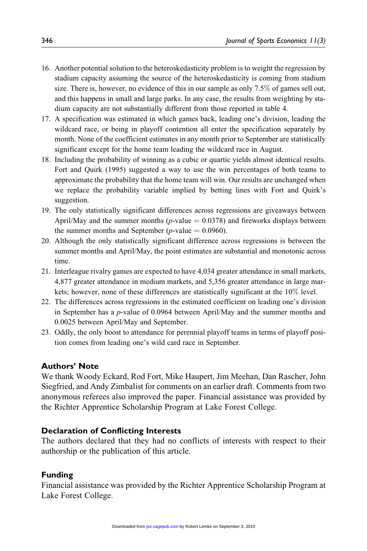- 16. Another potential solution to the heteroskedasticity problem is to weight the regression by stadium capacity assuming the source of the heteroskedasticity is coming from stadium size. There is, however, no evidence of this in our sample as only 7.5% of games sell out, and this happens in small and large parks. In any case, the results from weighting by stadium capacity are not substantially different from those reported in table 4.
- 17. A specification was estimated in which games back, leading one's division, leading the wildcard race, or being in playoff contention all enter the specification separately by month. None of the coefficient estimates in any month prior to September are statistically significant except for the home team leading the wildcard race in August.
- 18. Including the probability of winning as a cubic or quartic yields almost identical results. Fort and Quirk (1995) suggested a way to use the win percentages of both teams to approximate the probability that the home team will win. Our results are unchanged when we replace the probability variable implied by betting lines with Fort and Quirk's suggestion.
- 19. The only statistically significant differences across regressions are giveaways between April/May and the summer months ( $p$ -value = 0.0378) and fireworks displays between the summer months and September ( $p$ -value  $= 0.0960$ ).
- 20. Although the only statistically significant difference across regressions is between the summer months and April/May, the point estimates are substantial and monotonic across time.
- 21. Interleague rivalry games are expected to have 4,034 greater attendance in small markets, 4,877 greater attendance in medium markets, and 5,356 greater attendance in large markets; however, none of these differences are statistically significant at the 10% level.
- 22. The differences across regressions in the estimated coefficient on leading one's division in September has a p-value of 0.0964 between April/May and the summer months and 0.0025 between April/May and September.
- 23. Oddly, the only boost to attendance for perennial playoff teams in terms of playoff position comes from leading one's wild card race in September.

#### Authors' Note

We thank Woody Eckard, Rod Fort, Mike Haupert, Jim Meehan, Dan Rascher, John Siegfried, and Andy Zimbalist for comments on an earlier draft. Comments from two anonymous referees also improved the paper. Financial assistance was provided by the Richter Apprentice Scholarship Program at Lake Forest College.

#### Declaration of Conflicting Interests

The authors declared that they had no conflicts of interests with respect to their authorship or the publication of this article.

#### Funding

Financial assistance was provided by the Richter Apprentice Scholarship Program at Lake Forest College.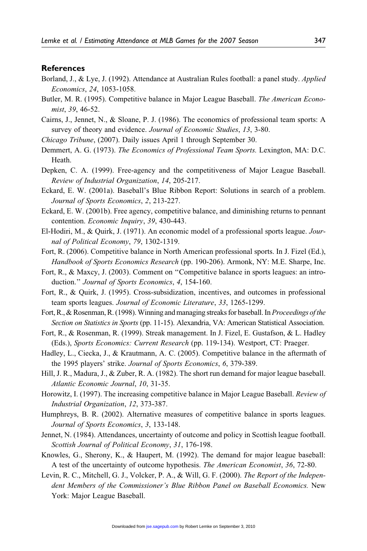#### **References**

- Borland, J., & Lye, J. (1992). Attendance at Australian Rules football: a panel study. Applied Economics, 24, 1053-1058.
- Butler, M. R. (1995). Competitive balance in Major League Baseball. The American Economist, 39, 46-52.
- Cairns, J., Jennet, N., & Sloane, P. J. (1986). The economics of professional team sports: A survey of theory and evidence. Journal of Economic Studies, 13, 3-80.
- Chicago Tribune, (2007). Daily issues April 1 through September 30.
- Demmert, A. G. (1973). The Economics of Professional Team Sports. Lexington, MA: D.C. Heath.
- Depken, C. A. (1999). Free-agency and the competitiveness of Major League Baseball. Review of Industrial Organization, 14, 205-217.
- Eckard, E. W. (2001a). Baseball's Blue Ribbon Report: Solutions in search of a problem. Journal of Sports Economics, 2, 213-227.
- Eckard, E. W. (2001b). Free agency, competitive balance, and diminishing returns to pennant contention. Economic Inquiry, 39, 430-443.
- El-Hodiri, M., & Quirk, J. (1971). An economic model of a professional sports league. Journal of Political Economy, 79, 1302-1319.
- Fort, R. (2006). Competitive balance in North American professional sports. In J. Fizel (Ed.), Handbook of Sports Economics Research (pp. 190-206). Armonk, NY: M.E. Sharpe, Inc.
- Fort, R., & Maxcy, J. (2003). Comment on ''Competitive balance in sports leagues: an introduction." Journal of Sports Economics, 4, 154-160.
- Fort, R., & Quirk, J. (1995). Cross-subsidization, incentives, and outcomes in professional team sports leagues. Journal of Economic Literature, 33, 1265-1299.
- Fort, R., & Rosenman, R. (1998). Winning and managing streaks for baseball. In *Proceedings of the* Section on Statistics in Sports (pp. 11-15). Alexandria, VA: American Statistical Association.
- Fort, R., & Rosenman, R. (1999). Streak management. In J. Fizel, E. Gustafson, & L. Hadley (Eds.), Sports Economics: Current Research (pp. 119-134). Westport, CT: Praeger.
- Hadley, L., Ciecka, J., & Krautmann, A. C. (2005). Competitive balance in the aftermath of the 1995 players' strike. Journal of Sports Economics, 6, 379-389.
- Hill, J. R., Madura, J., & Zuber, R. A. (1982). The short run demand for major league baseball. Atlantic Economic Journal, 10, 31-35.
- Horowitz, I. (1997). The increasing competitive balance in Major League Baseball. Review of Industrial Organization, 12, 373-387.
- Humphreys, B. R. (2002). Alternative measures of competitive balance in sports leagues. Journal of Sports Economics, 3, 133-148.
- Jennet, N. (1984). Attendances, uncertainty of outcome and policy in Scottish league football. Scottish Journal of Political Economy, 31, 176-198.
- Knowles, G., Sherony, K., & Haupert, M. (1992). The demand for major league baseball: A test of the uncertainty of outcome hypothesis. The American Economist, 36, 72-80.
- Levin, R. C., Mitchell, G. J., Volcker, P. A., & Will, G. F. (2000). The Report of the Independent Members of the Commissioner's Blue Ribbon Panel on Baseball Economics. New York: Major League Baseball.